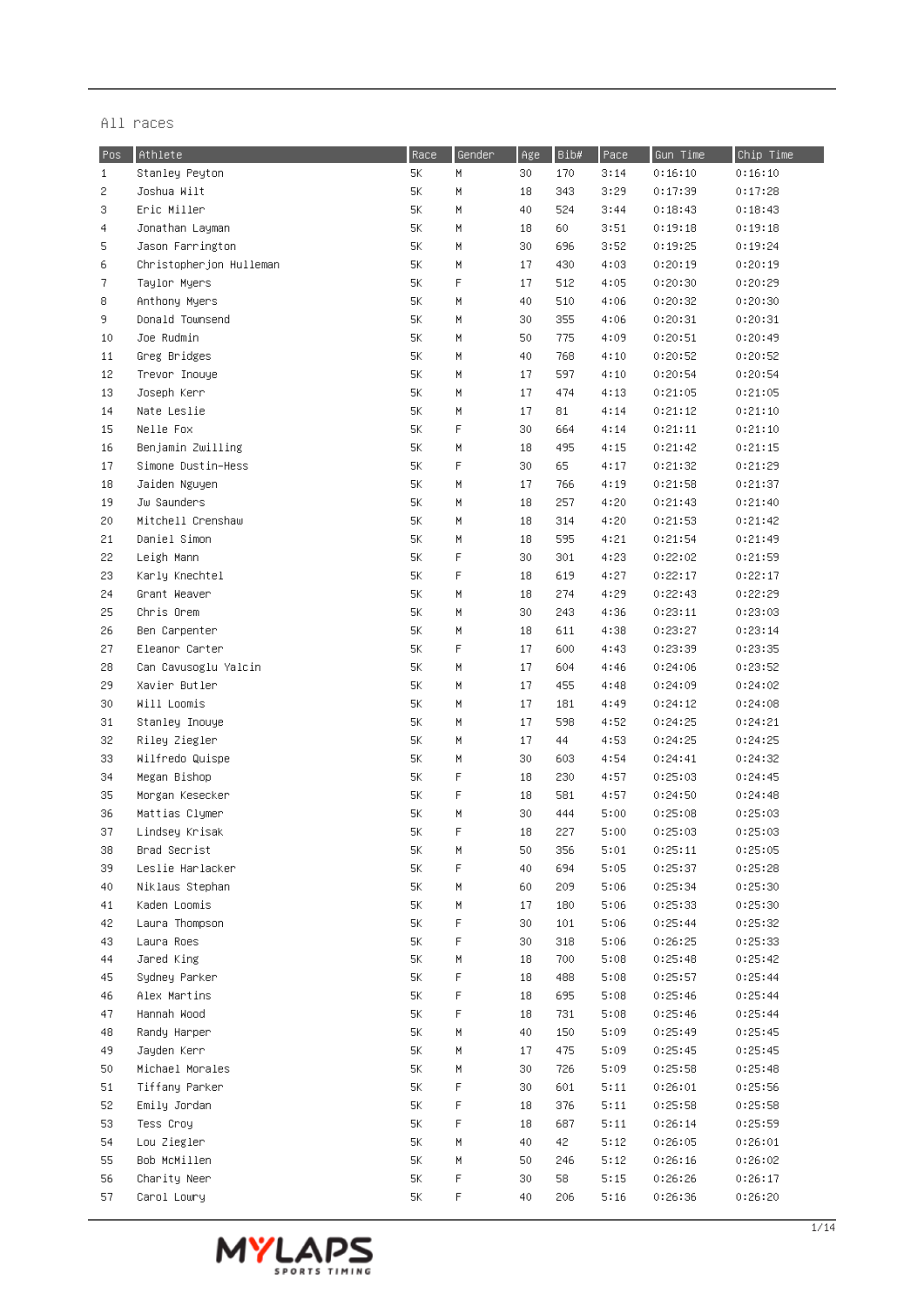| Pos          | Athlete                 | Race | Gender | Age | Bib# | Pace | Gun Time | Chip Time |
|--------------|-------------------------|------|--------|-----|------|------|----------|-----------|
| $\mathbf{1}$ | Stanley Peyton          | 5K   | H.     | 30  | 170  | 3:14 | 0:16:10  | 0:16:10   |
| 2            | Joshua Wilt             | 5K   | M      | 18  | 343  | 3:29 | 0:17:39  | 0:17:28   |
| 3            | Eric Miller             | 5K   | M      | 40  | 524  | 3:44 | 0:18:43  | 0:18:43   |
| 4            | Jonathan Layman         | 5K   | M      | 18  | 60   | 3:51 | 0:19:18  | 0:19:18   |
| 5            | Jason Farrington        | 5K   | M      | 30  | 696  | 3:52 | 0:19:25  | 0:19:24   |
| 6            | Christopherjon Hulleman | 5K   | M      | 17  | 430  | 4:03 | 0:20:19  | 0:20:19   |
| 7            | Taylor Myers            | 5K   | F      | 17  | 512  | 4:05 | 0:20:30  | 0:20:29   |
| 8            | Anthony Myers           | 5K   | M      | 40  | 510  | 4:06 | 0:20:32  | 0:20:30   |
| 9.           | Donald Townsend         | 5K   | M      | 30  | 355  | 4:06 | 0:20:31  | 0:20:31   |
| 10           | Joe Rudmin              | 5K   | M      | 50  | 775  | 4:09 | 0:20:51  | 0:20:49   |
| 11           | Greg Bridges            | 5K   | M      | 40  | 768  | 4:10 | 0:20:52  | 0:20:52   |
| 12           | Trevor Inouye           | 5K   | M      | 17  | 597  | 4:10 | 0:20:54  | 0:20:54   |
| 13           | Joseph Kerr             | 5K   | H      | 17  | 474  | 4:13 | 0:21:05  | 0:21:05   |
| 14           | Nate Leslie             | 5K   | M      | 17  | 81   | 4:14 | 0:21:12  | 0:21:10   |
| 15           | Nelle Fox               | 5K   | F      | 30  | 664  | 4:14 | 0:21:11  | 0:21:10   |
| 16           | Benjamin Zwilling       | 5K   | М      | 18  | 495  | 4:15 | 0:21:42  | 0:21:15   |
| 17           | Simone Dustin-Hess      | 5K   | F      | 30  | 65   | 4:17 | 0:21:32  | 0:21:29   |
| 18           | Jaiden Nguyen           | 5K   | М      | 17  | 766  | 4:19 | 0:21:58  | 0:21:37   |
| 19           | Jw Saunders             | 5K   | M      | 18  | 257  | 4:20 | 0:21:43  | 0:21:40   |
| 20           | Mitchell Crenshaw       | 5K   | M      | 18  | 314  | 4:20 | 0:21:53  | 0:21:42   |
| 21           | Daniel Simon            | 5K   | M      | 18  | 595  | 4:21 | 0:21:54  | 0:21:49   |
| 22           | Leigh Mann              | 5K   | F      | 30  | 301  | 4:23 | 0:22:02  | 0:21:59   |
| 23           | Karly Knechtel          | 5K   | F      | 18  | 619  | 4:27 | 0:22:17  | 0:22:17   |
| 24           | Grant Weaver            | 5K   | М      | 18  | 274  | 4:29 | 0:22:43  | 0:22:29   |
| 25           | Chris Orem              | 5K   | M      | 30  | 243  | 4:36 | 0:23:11  | 0:23:03   |
| 26           | Ben Carpenter           | 5K   | M      | 18  | 611  | 4:38 | 0:23:27  | 0:23:14   |
| 27           | Eleanor Carter          | 5K   | F      | 17  | 600  | 4:43 | 0:23:39  | 0:23:35   |
| 28           | Can Cavusoglu Yalcin    | 5K   | M      | 17  | 604  | 4:46 | 0:24:06  | 0:23:52   |
| 29           | Xavier Butler           | 5K   | M      | 17  | 455  | 4:48 | 0:24:09  | 0:24:02   |
| 30           | Will Loomis             | 5K   | M      | 17  | 181  | 4:49 | 0:24:12  | 0:24:08   |
| 31           | Stanley Inouye          | 5K   | M      | 17  | 598  | 4:52 | 0:24:25  | 0:24:21   |
| 32           | Riley Ziegler           | 5K   | M      | 17  | 44   | 4:53 | 0:24:25  | 0:24:25   |
| 33           | Wilfredo Quispe         | 5K   | M      | 30  | 603  | 4:54 | 0:24:41  | 0:24:32   |
| 34           | Megan Bishop            | 5K   | F      | 18  | 230  | 4:57 | 0:25:03  | 0:24:45   |
| 35           | Morgan Kesecker         | 5К   | F      | 18  | 581  | 4:57 | 0:24:50  | 0:24:48   |
| 36           | Mattias Clymer          | 5K   | H      | 30  | 444  | 5:00 | 0:25:08  | 0:25:03   |
| 37           | Lindsey Krisak          | 5K   | F      | 18  | 227  | 5:00 | 0:25:03  | 0:25:03   |
| 38           | Brad Secrist            | 5K   | M      | 50  | 356  | 5:01 | 0:25:11  | 0:25:05   |
| 39           | Leslie Harlacker        | 5K   | F      | 40  | 694  | 5:05 | 0:25:37  | 0:25:28   |
| 40           | Niklaus Stephan         | 5K   | M      | 60  | 209  | 5:06 | 0:25:34  | 0:25:30   |
| 41           | Kaden Loomis            | 5K   | M      | 17  | 180  | 5:06 | 0:25:33  | 0:25:30   |
| 42           | Laura Thompson          | 5K   | F      | 30  | 101  | 5:06 | 0:25:44  | 0:25:32   |
| 43           | Laura Roes              | 5K   | F      | 30  | 318  | 5:06 | 0:26:25  | 0:25:33   |
| 44           | Jared King              | 5K   | M      | 18  | 700  | 5:08 | 0:25:48  | 0:25:42   |
| 45           | Sydney Parker           | 5K   | F      | 18  | 488  | 5:08 | 0:25:57  | 0:25:44   |
| 46           | Alex Martins            | 5K   | F      | 18  | 695  | 5:08 | 0:25:46  | 0:25:44   |
| 47           | Hannah Wood             | 5K   | F      | 18  | 731  | 5:08 | 0:25:46  | 0:25:44   |
| 48           | Randy Harper            | 5К   | M      | 40  | 150  | 5:09 | 0:25:49  | 0:25:45   |
| 49           | Jayden Kerr             | 5К   | M      | 17  | 475  | 5:09 | 0:25:45  | 0:25:45   |
| 50           | Michael Morales         | 5К   | M      | 30  | 726  | 5:09 | 0:25:58  | 0:25:48   |
| 51           | Tiffany Parker          | 5K   | F      | 30  | 601  | 5:11 | 0:26:01  | 0:25:56   |
| 52           | Emily Jordan            | 5K   | F      | 18  | 376  | 5:11 | 0:25:58  | 0:25:58   |
| 53           | Tess Croy               | 5K   | F      | 18  | 687  | 5:11 | 0:26:14  | 0:25:59   |
| 54           | Lou Ziegler             | 5K   | M      | 40  | 42   | 5:12 | 0:26:05  | 0:26:01   |
| 55           | Bob McMillen            | 5K   | M      | 50  | 246  | 5:12 | 0:26:16  | 0:26:02   |
| 56           | Charity Neer            | 5К   | F      | 30  | 58   | 5:15 | 0:26:26  | 0:26:17   |
| 57           | Carol Lowry             | 5К   | F      | 40  | 206  | 5:16 | 0:26:36  | 0:26:20   |

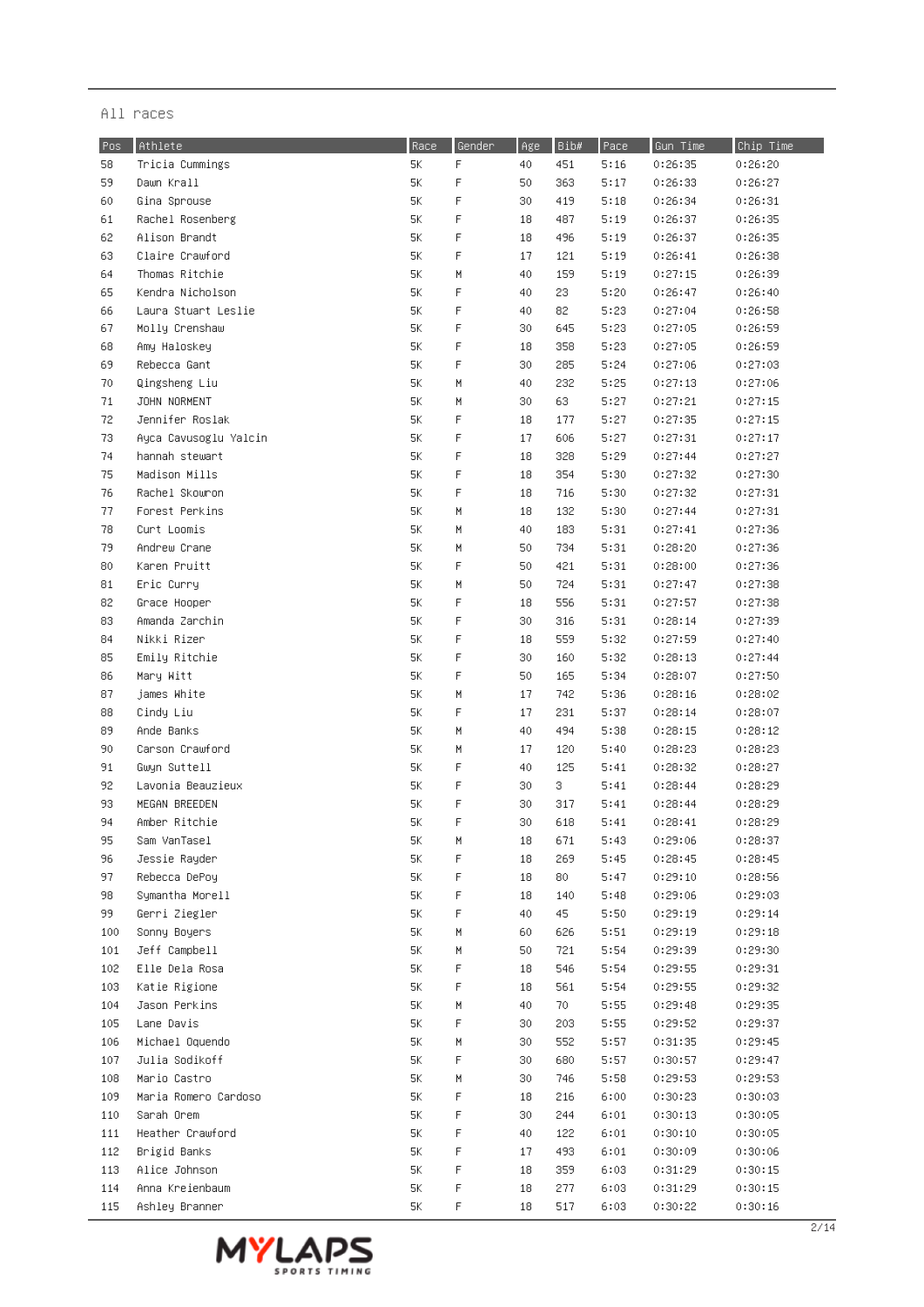| Pos        | Athlete                           | Race     | Gender      | Age      | Bib#       | Pace         | Gun Time           | Chip Time          |
|------------|-----------------------------------|----------|-------------|----------|------------|--------------|--------------------|--------------------|
| 58         | Tricia Cummings                   | 5K       | F           | 40       | 451        | 5:16         | 0:26:35            | 0:26:20            |
| 59         | Dawn Krall                        | 5K       | F           | 50       | 363        | 5:17         | 0:26:33            | 0:26:27            |
| 60         | Gina Sprouse                      | 5К       | F           | 30       | 419        | 5:18         | 0:26:34            | 0:26:31            |
| 61         | Rachel Rosenberg                  | 5К       | F           | 18       | 487        | 5:19         | 0:26:37            | 0:26:35            |
| 62         | Alison Brandt                     | 5К       | F           | 18       | 496        | 5:19         | 0:26:37            | 0:26:35            |
| 63         | Claire Crawford                   | 5К       | F           | 17       | 121        | 5:19         | 0:26:41            | 0:26:38            |
| 64         | Thomas Ritchie                    | 5K       | М           | 40       | 159        | 5:19         | 0:27:15            | 0:26:39            |
| 65         | Kendra Nicholson                  | 5К       | F           | 40       | 23         | 5:20         | 0:26:47            | 0:26:40            |
| 66         | Laura Stuart Leslie               | 5К       | F           | 40       | 82         | 5:23         | 0:27:04            | 0:26:58            |
| 67         | Molly Crenshaw                    | 5К       | F           | 30       | 645        | 5:23         | 0:27:05            | 0:26:59            |
| 68         | Amy Haloskey                      | 5К       | F           | 18       | 358        | 5:23         | 0:27:05            | 0:26:59            |
| 69         | Rebecca Gant                      | 5К       | F           | 30       | 285        | 5:24         | 0:27:06            | 0:27:03            |
| 70         | Qingsheng Liu                     | 5К       | M           | 40       | 232        | 5:25         | 0:27:13            | 0:27:06            |
| 71         | JOHN NORMENT                      | 5К       | H           | 30       | 63         | 5:27         | 0:27:21            | 0:27:15            |
| 72         | Jennifer Roslak                   | 5К       | F           | 18       | 177        | 5:27         | 0:27:35            | 0:27:15            |
| 73         | Ayca Cavusoglu Yalcin             | 5К       | F           | 17       | 606        | 5:27         | 0:27:31            | 0:27:17            |
| 74         | hannah stewart                    | 5К       | F           | 18       | 328        | 5:29         | 0:27:44            | 0:27:27            |
| 75         | Madison Mills                     | 5К       | F           | 18       | 354        | 5:30         | 0:27:32            | 0:27:30            |
| 76         | Rachel Skowron                    | 5К       | F           | 18       | 716        | 5:30         | 0:27:32            | 0:27:31            |
| 77         | Forest Perkins                    | 5K       | H           | 18       | 132        | 5:30         | 0:27:44            | 0:27:31            |
| 78         | Curt Loomis                       | 5K       | H           | 40       | 183        | 5:31         | 0:27:41            | 0:27:36            |
| 79         | Andrew Crane                      | 5К       | H           | 50       | 734        | 5:31         | 0:28:20            | 0:27:36            |
| 80         | Karen Pruitt                      | 5К       | F           | 50       | 421        | 5:31         | 0:28:00            | 0:27:36            |
| 81         | Eric Curry                        | 5К       | М           | 50       | 724        | 5:31         | 0:27:47            | 0:27:38            |
| 82         | Grace Hooper                      | 5К       | F           | 18       | 556        | 5:31         | 0:27:57            |                    |
|            | Amanda Zarchin                    |          | $\mathsf F$ | 30       | 316        |              |                    | 0:27:38            |
| 83         |                                   | 5К       | F           |          |            | 5:31         | 0:28:14            | 0:27:39            |
| 84         | Nikki Rizer                       | 5К       | F           | 18<br>30 | 559        | 5:32         | 0:27:59            | 0:27:40            |
| 85         | Emily Ritchie                     | 5К       | F           |          | 160        | 5:32         | 0:28:13            | 0:27:44            |
| 86         | Mary Witt                         | 5К       | М           | 50<br>17 | 165        | 5:34         | 0:28:07            | 0:27:50            |
| 87         | james White                       | 5К       | F           |          | 742        | 5:36         | 0:28:16            | 0:28:02            |
| 88         | Cindy Liu                         | 5К       |             | 17       | 231        | 5:37         | 0:28:14            | 0:28:07            |
| 89<br>90   | Ande Banks<br>Carson Crawford     | 5К<br>5К | М<br>М      | 40<br>17 | 494<br>120 | 5:38<br>5:40 | 0:28:15<br>0:28:23 | 0:28:12<br>0:28:23 |
|            |                                   |          | F           |          |            |              | 0:28:32            |                    |
| 91         | Gwyn Suttell<br>Lavonia Beauzieux | 5К       | F           | 40       | 125        | 5:41         |                    | 0:28:27            |
| 92         |                                   | 5К       | F           | 30       | 3          | 5:41         | 0:28:44            | 0:28:29            |
| 93         | MEGAN BREEDEN<br>Amber Ritchie    | 5К       | F           | 30       | 317        | 5:41         | 0:28:44            | 0:28:29            |
| 94         |                                   | 5К       |             | 30       | 618        | 5:41         | 0:28:41            | 0:28:29            |
| 95         | Sam VanTasel<br>Jessie Rayder     | 5K       | M<br>F      | 18       | 671        | 5:43         | 0:29:06            | 0:28:37            |
| 96         |                                   | 5К       | F           | 18       | 269        | 5:45         | 0:28:45            | 0:28:45            |
| 97         | Rebecca DePoy                     | 5К       | F           | 18       | 80         | 5:47         | 0:29:10<br>0:29:06 | 0:28:56            |
| 98         | Symantha Morell                   | 5К       | F           | 18<br>40 | 140<br>45  | 5:48<br>5:50 |                    | 0:29:03            |
| 99.        | Gerri Ziegler                     | 5К       |             |          |            | 5:51         | 0:29:19            | 0:29:14<br>0:29:18 |
| 100        | Sonny Boyers<br>Jeff Campbell     | 5К       | M<br>M      | 60       | 626        |              | 0:29:19<br>0:29:39 |                    |
| 101<br>102 | Elle Dela Rosa                    | 5К<br>5К | F           | 50       | 721<br>546 | 5:54<br>5:54 | 0:29:55            | 0:29:30<br>0:29:31 |
|            |                                   |          | F           | 18       | 561        |              |                    |                    |
| 103        | Katie Rigione<br>Jason Perkins    | 5К<br>5К | M           | 18<br>40 | 70         | 5:54<br>5:55 | 0:29:55<br>0:29:48 | 0:29:32<br>0:29:35 |
| 104        | Lane Davis                        |          | F           |          | 203        |              |                    |                    |
| 105        | Michael Oquendo                   | 5К       |             | 30       | 552        | 5:55         | 0:29:52            | 0:29:37            |
| 106        |                                   | 5К       | M           | 30       |            | 5:57         | 0:31:35            | 0:29:45            |
| 107        | Julia Sodikoff                    | 5К       | F           | 30       | 680        | 5:57         | 0:30:57            | 0:29:47            |
| 108        | Mario Castro                      | 5К       | М           | 30       | 746        | 5:58         | 0:29:53            | 0:29:53            |
| 109        | Maria Romero Cardoso              | 5К       | F           | 18       | 216        | 6:00         | 0:30:23            | 0:30:03            |
| 110        | Sarah Orem                        | 5К       | F           | 30       | 244        | 6:01         | 0:30:13            | 0:30:05            |
| 111        | Heather Crawford                  | 5К       | F           | 40       | 122        | 6:01         | 0:30:10            | 0:30:05            |
| 112        | Brigid Banks                      | 5К       | F           | 17       | 493        | 6:01         | 0:30:09            | 0:30:06            |
| 113        | Alice Johnson                     | 5К       | F           | 18       | 359        | 6:03         | 0:31:29            | 0:30:15            |
| 114        | Anna Kreienbaum                   | 5К       | F           | 18       | 277        | 6:03         | 0:31:29            | 0:30:15            |
| 115        | Ashley Branner                    | 5К       | F           | 18       | 517        | 6:03         | 0:30:22            | 0:30:16            |

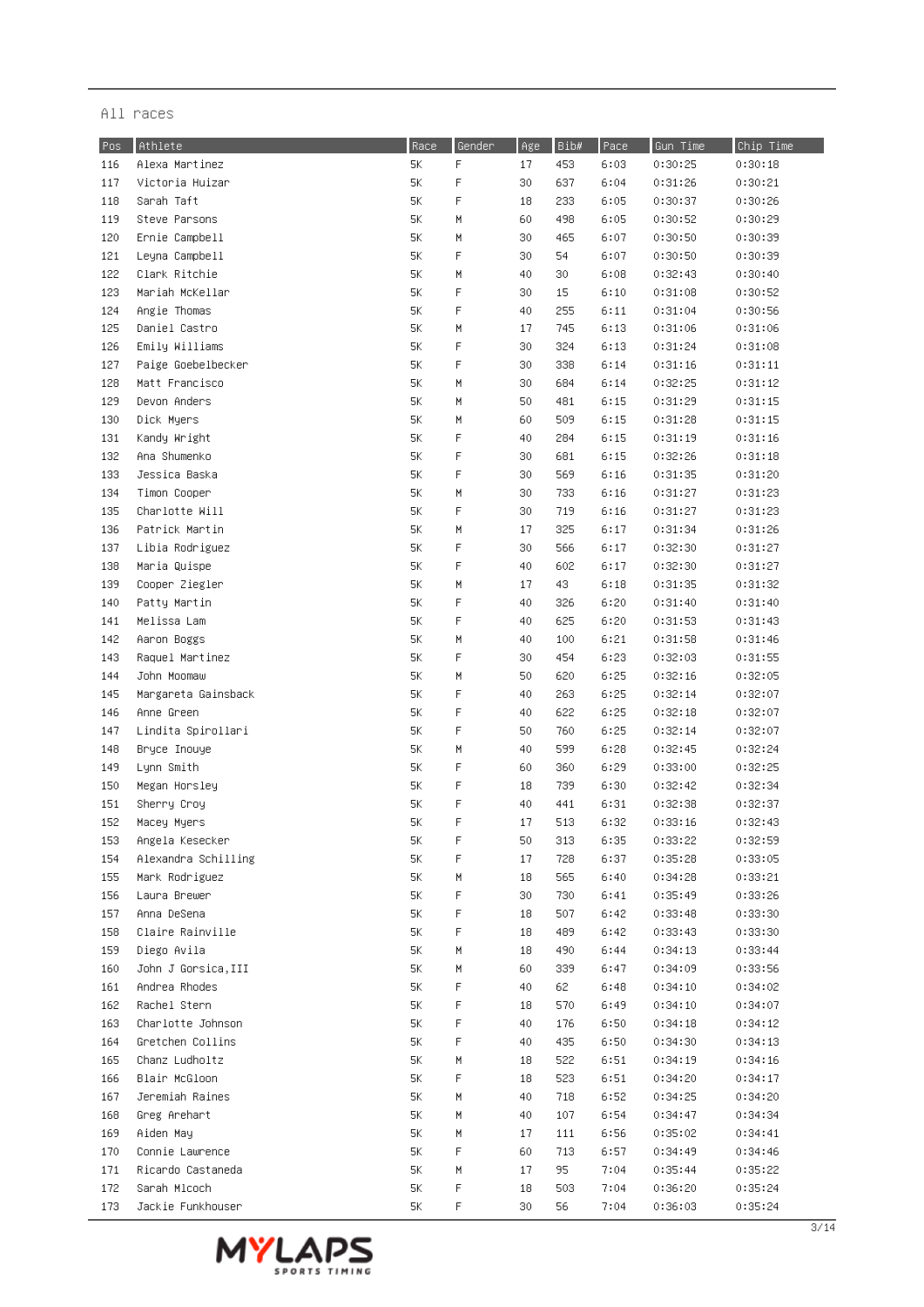| Pos | Athlete             | Race | Gender      | Age      | ${\tt Bib\#}$ | Pace | Gun Time | Chip Time |
|-----|---------------------|------|-------------|----------|---------------|------|----------|-----------|
| 116 | Alexa Martinez      | 5Κ   | $\mathsf F$ | 17       | 453           | 6:03 | 0:30:25  | 0:30:18   |
| 117 | Victoria Huizar     | 5К   | $\mathsf F$ | 30       | 637           | 6:04 | 0:31:26  | 0:30:21   |
| 118 | Sarah Taft          | 5К   | F           | 18       | 233           | 6:05 | 0:30:37  | 0:30:26   |
| 119 | Steve Parsons       | 5К   | M           | 60       | 498           | 6:05 | 0:30:52  | 0:30:29   |
| 120 | Ernie Campbell      | 5К   | М           | 30       | 465           | 6:07 | 0:30:50  | 0:30:39   |
| 121 | Leyna Campbell      | 5К   | F           | 30       | 54            | 6:07 | 0:30:50  | 0:30:39   |
| 122 | Clark Ritchie       | 5К   | М           | 40       | 30            | 6:08 | 0:32:43  | 0:30:40   |
| 123 | Mariah McKellar     | 5К   | F           | 30       | 15            | 6:10 | 0:31:08  | 0:30:52   |
| 124 | Angie Thomas        | 5К   | F           | 40       | 255           | 6:11 | 0:31:04  | 0:30:56   |
| 125 | Daniel Castro       | 5К   | М           | 17       | 745           | 6:13 | 0:31:06  | 0:31:06   |
| 126 | Emily Williams      | 5К   | F           | 30       | 324           | 6:13 | 0:31:24  | 0:31:08   |
| 127 | Paige Goebelbecker  | 5К   | F           | 30       | 338           | 6:14 | 0:31:16  | 0:31:11   |
| 128 | Matt Francisco      | 5К   | H           | 30       | 684           | 6:14 | 0:32:25  | 0:31:12   |
| 129 | Devon Anders        | 5К   | M           | 50       | 481           | 6:15 | 0:31:29  | 0:31:15   |
| 130 | Dick Myers          | 5Κ   | M           | 60       | 509           | 6:15 | 0:31:28  | 0:31:15   |
| 131 | Kandy Wright        | 5К   | F           | 40       | 284           | 6:15 | 0:31:19  | 0:31:16   |
| 132 | Ana Shumenko        | 5К   | F           |          | 681           | 6:15 | 0:32:26  | 0:31:18   |
| 133 | Jessica Baska       | 5K   | F           | 30<br>30 | 569           | 6:16 | 0:31:35  | 0:31:20   |
|     |                     |      |             |          |               |      |          |           |
| 134 | Timon Cooper        | 5K   | H           | 30       | 733           | 6:16 | 0:31:27  | 0:31:23   |
| 135 | Charlotte Will      | 5К   | F           | 30       | 719           | 6:16 | 0:31:27  | 0:31:23   |
| 136 | Patrick Martin      | 5К   | H           | 17       | 325           | 6:17 | 0:31:34  | 0:31:26   |
| 137 | Libia Rodriguez     | 5К   | F           | 30       | 566           | 6:17 | 0:32:30  | 0:31:27   |
| 138 | Maria Quispe        | 5К   | F           | 40       | 602           | 6:17 | 0:32:30  | 0:31:27   |
| 139 | Cooper Ziegler      | 5К   | Μ           | 17       | 43            | 6:18 | 0:31:35  | 0:31:32   |
| 140 | Patty Martin        | 5К   | F           | 40       | 326           | 6:20 | 0:31:40  | 0:31:40   |
| 141 | Melissa Lam         | 5К   | F           | 40       | 625           | 6:20 | 0:31:53  | 0:31:43   |
| 142 | Aaron Boggs         | 5К   | Μ           | 40       | 100           | 6:21 | 0:31:58  | 0:31:46   |
| 143 | Raquel Martinez     | 5К   | F           | 30       | 454           | 6:23 | 0:32:03  | 0:31:55   |
| 144 | John Moomaw         | 5Κ   | Μ           | 50       | 620           | 6:25 | 0:32:16  | 0:32:05   |
| 145 | Margareta Gainsback | 5К   | F           | 40       | 263           | 6:25 | 0:32:14  | 0:32:07   |
| 146 | Anne Green          | 5К   | F           | 40       | 622           | 6:25 | 0:32:18  | 0:32:07   |
| 147 | Lindita Spirollari  | 5К   | F           | 50       | 760           | 6:25 | 0:32:14  | 0:32:07   |
| 148 | Bryce Inouye        | 5К   | М           | 40       | 599           | 6:28 | 0:32:45  | 0:32:24   |
| 149 | Lynn Smith          | 5К   | F           | 60       | 360           | 6:29 | 0:33:00  | 0:32:25   |
| 150 | Megan Horsley       | 5К   | F           | 18       | 739           | 6:30 | 0:32:42  | 0:32:34   |
| 151 | Sherry Croy         | 5К   | F           | 40       | 441           | 6:31 | 0:32:38  | 0:32:37   |
| 152 | Macey Myers         | 5К   | F           | 17       | 513           | 6:32 | 0:33:16  | 0:32:43   |
| 153 | Angela Kesecker     | 5Κ   | F           | 50       | 313           | 6:35 | 0:33:22  | 0:32:59   |
| 154 | Alexandra Schilling | 5К   | F           | 17       | 728           | 6:37 | 0:35:28  | 0:33:05   |
| 155 | Mark Rodriguez      | 5К   | H           | 18       | 565           | 6:40 | 0:34:28  | 0:33:21   |
| 156 | Laura Brewer        | 5К   | F           | 30       | 730           | 6:41 | 0:35:49  | 0:33:26   |
| 157 | Anna DeSena         | 5К   | F           | 18       | 507           | 6:42 | 0:33:48  | 0:33:30   |
| 158 | Claire Rainville    | 5К   | F           | 18       | 489           | 6:42 | 0:33:43  | 0:33:30   |
| 159 | Diego Avila         | 5К   | H           | 18       | 490           | 6:44 | 0:34:13  | 0:33:44   |
| 160 | John J Gorsica, III | 5К   | H           | 60       | 339           | 6:47 | 0:34:09  | 0:33:56   |
| 161 | Andrea Rhodes       | 5К   | F           | 40       | 62            | 6:48 | 0:34:10  | 0:34:02   |
| 162 | Rachel Stern        | 5К   | F           | 18       | 570           | 6:49 | 0:34:10  | 0:34:07   |
| 163 | Charlotte Johnson   | 5К   | F           | 40       | 176           | 6:50 | 0:34:18  | 0:34:12   |
| 164 | Gretchen Collins    | 5К   | F           | 40       | 435           | 6:50 | 0:34:30  | 0:34:13   |
| 165 | Chanz Ludholtz      | 5К   | Μ           | 18       | 522           | 6:51 | 0:34:19  | 0:34:16   |
| 166 | Blair McGloon       | 5К   | F           | 18       | 523           | 6:51 | 0:34:20  | 0:34:17   |
| 167 | Jeremiah Raines     | 5К   | Μ           | 40       | 718           | 6:52 | 0:34:25  | 0:34:20   |
| 168 | Greg Arehart        | 5К   | Μ           | 40       | 107           | 6:54 | 0:34:47  | 0:34:34   |
| 169 | Aiden May           | 5К   | H           | 17       | 111           | 6:56 | 0:35:02  | 0:34:41   |
| 170 | Connie Lawrence     | 5К   | F           | 60       | 713           | 6:57 | 0:34:49  | 0:34:46   |
| 171 | Ricardo Castaneda   | 5К   | H           | 17       | 95            | 7:04 | 0:35:44  | 0:35:22   |
| 172 | Sarah Micoch        | 5К   | F           | 18       | 503           | 7:04 | 0:36:20  | 0:35:24   |
| 173 | Jackie Funkhouser   | 5К   | F           | 30       | 56            | 7:04 | 0:36:03  | 0:35:24   |

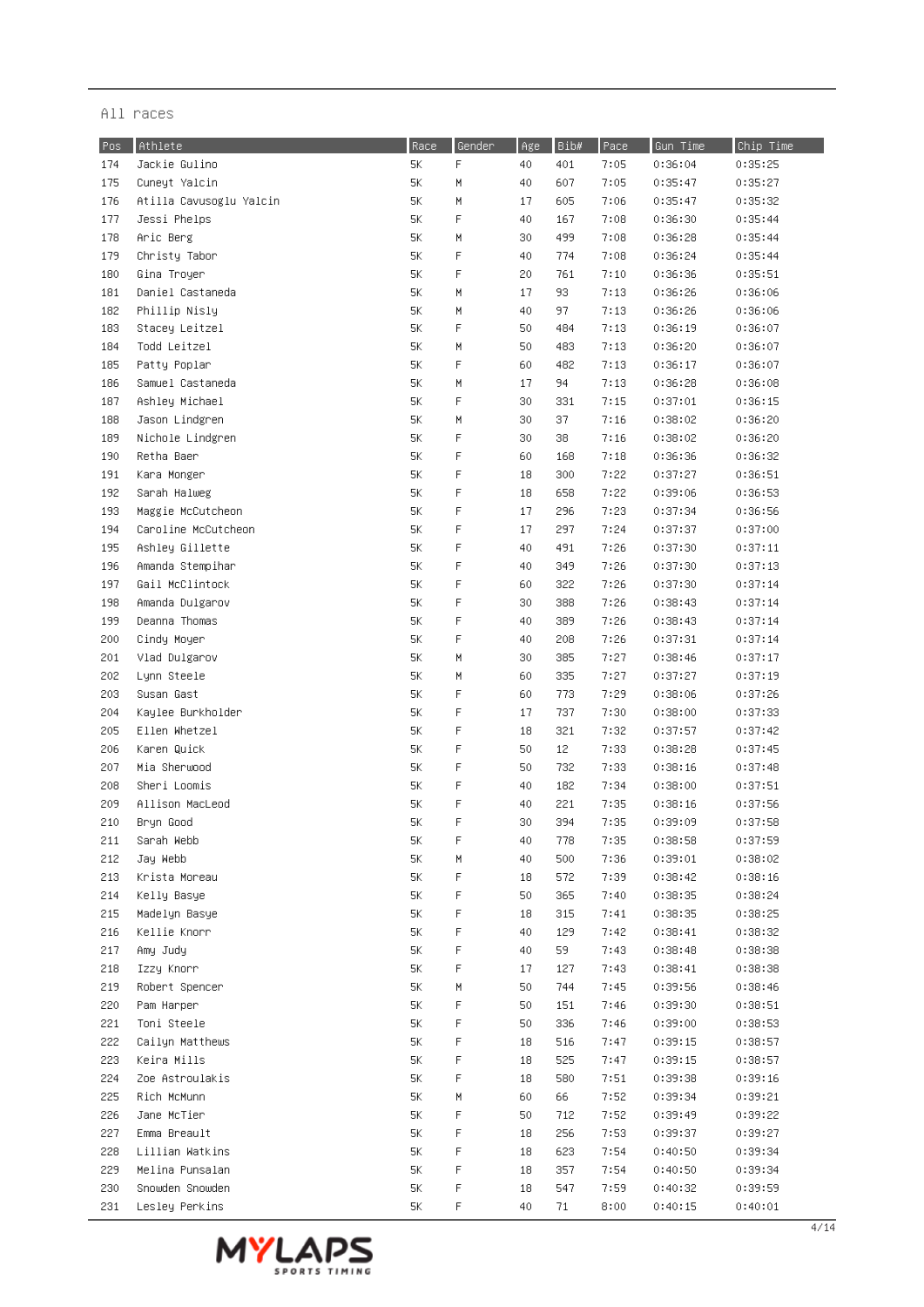| Pos | Athlete                 | Race | Gender      | Age | Bib# | Pace | Gun Time | Chip Time |
|-----|-------------------------|------|-------------|-----|------|------|----------|-----------|
| 174 | Jackie Gulino           | 5К   | F           | 40  | 401  | 7:05 | 0:36:04  | 0:35:25   |
| 175 | Cuneyt Yalcin           | $5K$ | M           | 40  | 607  | 7:05 | 0:35:47  | 0:35:27   |
| 176 | Atilla Cavusoglu Yalcin | 5К   | М           | 17  | 605  | 7:06 | 0:35:47  | 0:35:32   |
| 177 | Jessi Phelps            | 5К   | F           | 40  | 167  | 7:08 | 0:36:30  | 0:35:44   |
| 178 | Aric Berg               | 5К   | М           | 30  | 499  | 7:08 | 0:36:28  | 0:35:44   |
| 179 | Christy Tabor           | 5K   | F           | 40  | 774  | 7:08 | 0:36:24  | 0:35:44   |
| 180 | Gina Troyer             | 5K   | F           | 20  | 761  | 7:10 | 0:36:36  | 0:35:51   |
| 181 | Daniel Castaneda        | 5К   | М           | 17  | 93   | 7:13 | 0:36:26  | 0:36:06   |
| 182 | Phillip Nisly           | 5К   | М           | 40  | 97   | 7:13 | 0:36:26  | 0:36:06   |
| 183 | Stacey Leitzel          | 5К   | F           | 50  | 484  | 7:13 | 0:36:19  | 0:36:07   |
| 184 | Todd Leitzel            | 5К   | M           | 50  | 483  | 7:13 | 0:36:20  | 0:36:07   |
| 185 | Patty Poplar            | 5К   | F           | 60  | 482  | 7:13 | 0:36:17  | 0:36:07   |
| 186 | Samuel Castaneda        | 5К   | M           | 17  | 94   | 7:13 | 0:36:28  | 0:36:08   |
| 187 | Ashley Michael          | 5К   | F           | 30  | 331  | 7:15 | 0:37:01  | 0:36:15   |
| 188 | Jason Lindgren          | 5К   | М           | 30  | 37   | 7:16 | 0:38:02  | 0:36:20   |
| 189 | Nichole Lindgren        | 5К   | F           | 30  | 38   | 7:16 | 0:38:02  | 0:36:20   |
| 190 | Retha Baer              | 5К   | F           | 60  | 168  | 7:18 | 0:36:36  | 0:36:32   |
| 191 | Kara Monger             | 5К   | F           | 18  | 300  | 7:22 | 0:37:27  | 0:36:51   |
| 192 | Sarah Halweg            | 5К   | F           | 18  | 658  | 7:22 | 0:39:06  | 0:36:53   |
| 193 | Maggie McCutcheon       | 5K   | $\mathsf F$ | 17  | 296  | 7:23 | 0:37:34  | 0:36:56   |
| 194 | Caroline McCutcheon     | 5К   | $\mathsf F$ | 17  | 297  | 7:24 | 0:37:37  | 0:37:00   |
| 195 | Ashley Gillette         | 5К   | F           | 40  | 491  | 7:26 | 0:37:30  | 0:37:11   |
| 196 | Amanda Stempihar        | 5К   | F           | 40  | 349  | 7:26 | 0:37:30  | 0:37:13   |
| 197 | Gail McClintock         | 5К   | $\mathsf F$ | 60  | 322  | 7:26 | 0:37:30  | 0:37:14   |
| 198 | Amanda Dulgarov         | 5К   | F           | 30  | 388  | 7:26 | 0:38:43  | 0:37:14   |
| 199 | Deanna Thomas           | 5К   | F           | 40  | 389  | 7:26 | 0:38:43  | 0:37:14   |
| 200 | Cindy Moyer             | 5К   | F           | 40  | 208  | 7:26 | 0:37:31  | 0:37:14   |
| 201 | Vlad Dulgarov           | 5К   | М           | 30  | 385  | 7:27 | 0:38:46  | 0:37:17   |
| 202 | Lynn Steele             | 5К   | М           | 60  | 335  | 7:27 | 0:37:27  | 0:37:19   |
| 203 | Susan Gast              | 5К   | F           | 60  | 773  | 7:29 | 0:38:06  | 0:37:26   |
| 204 | Kaylee Burkholder       | 5К   | F           | 17  | 737  | 7:30 | 0:38:00  | 0:37:33   |
| 205 | Ellen Whetzel           | 5К   | $\mathsf F$ | 18  | 321  | 7:32 | 0:37:57  | 0:37:42   |
| 206 | Karen Quick             | 5К   | $\mathsf F$ | 50  | 12   | 7:33 | 0:38:28  | 0:37:45   |
| 207 | Mia Sherwood            | 5К   | F           | 50  | 732  | 7:33 | 0:38:16  | 0:37:48   |
| 208 | Sheri Loomis            | 5К   | F           | 40  | 182  | 7:34 | 0:38:00  | 0:37:51   |
| 209 | Allison MacLeod         | 5К   | F           | 40  | 221  | 7:35 | 0:38:16  | 0:37:56   |
| 210 | Bryn Good               | 5К   | F           | 30  | 394  | 7:35 | 0:39:09  | 0:37:58   |
| 211 | Sarah Webb              | 5Κ   | F           | 40  | 778  | 7:35 | 0:38:58  | 0:37:59   |
| 212 | Jay Webb                | 5К   | M           | 40  | 500  | 7:36 | 0:39:01  | 0:38:02   |
| 213 | Krista Moreau           | 5К   | F           | 18  | 572  | 7:39 | 0:38:42  | 0:38:16   |
| 214 | Kelly Basye             | 5К   | F           | 50  | 365  | 7:40 | 0:38:35  | 0:38:24   |
| 215 | Madelyn Basye           | 5К   | F           | 18  | 315  | 7:41 | 0:38:35  | 0:38:25   |
| 216 | Kellie Knorr            | 5К   | F           | 40  | 129  | 7:42 | 0:38:41  | 0:38:32   |
| 217 | Amy Judy                | 5К   | F           | 40  | 59   | 7:43 | 0:38:48  | 0:38:38   |
| 218 | Izzy Knorr              | 5K   | F           | 17  | 127  | 7:43 | 0:38:41  | 0:38:38   |
| 219 | Robert Spencer          | 5К   | М           | 50  | 744  | 7:45 | 0:39:56  | 0:38:46   |
| 220 | Pam Harper              | 5К   | F           | 50  | 151  | 7:46 | 0:39:30  | 0:38:51   |
| 221 | Toni Steele             | 5К   | F           | 50  | 336  | 7:46 | 0:39:00  | 0:38:53   |
| 222 | Cailyn Matthews         | 5К   | F           | 18  | 516  | 7:47 | 0:39:15  | 0:38:57   |
| 223 | Keira Mills             | 5К   | F           | 18  | 525  | 7:47 | 0:39:15  | 0:38:57   |
| 224 | Zoe Astroulakis         | 5К   | F           | 18  | 580  | 7:51 | 0:39:38  | 0:39:16   |
| 225 | Rich McMunn             | 5K   | М           | 60  | 66   | 7:52 | 0:39:34  | 0:39:21   |
| 226 | Jane McTier             | 5К   | F           | 50  | 712  | 7:52 | 0:39:49  | 0:39:22   |
| 227 | Emma Breault            | 5Κ   | F           | 18  | 256  | 7:53 | 0:39:37  | 0:39:27   |
| 228 | Lillian Watkins         | 5Κ   | F           | 18  | 623  | 7:54 | 0:40:50  | 0:39:34   |
| 229 | Melina Punsalan         | 5K   | F           | 18  | 357  | 7:54 | 0:40:50  | 0:39:34   |
| 230 | Snowden Snowden         | 5K   | F           | 18  | 547  | 7:59 | 0:40:32  | 0:39:59   |
| 231 | Lesley Perkins          | 5К   | F           | 40  | 71   | 8:00 | 0:40:15  | 0:40:01   |

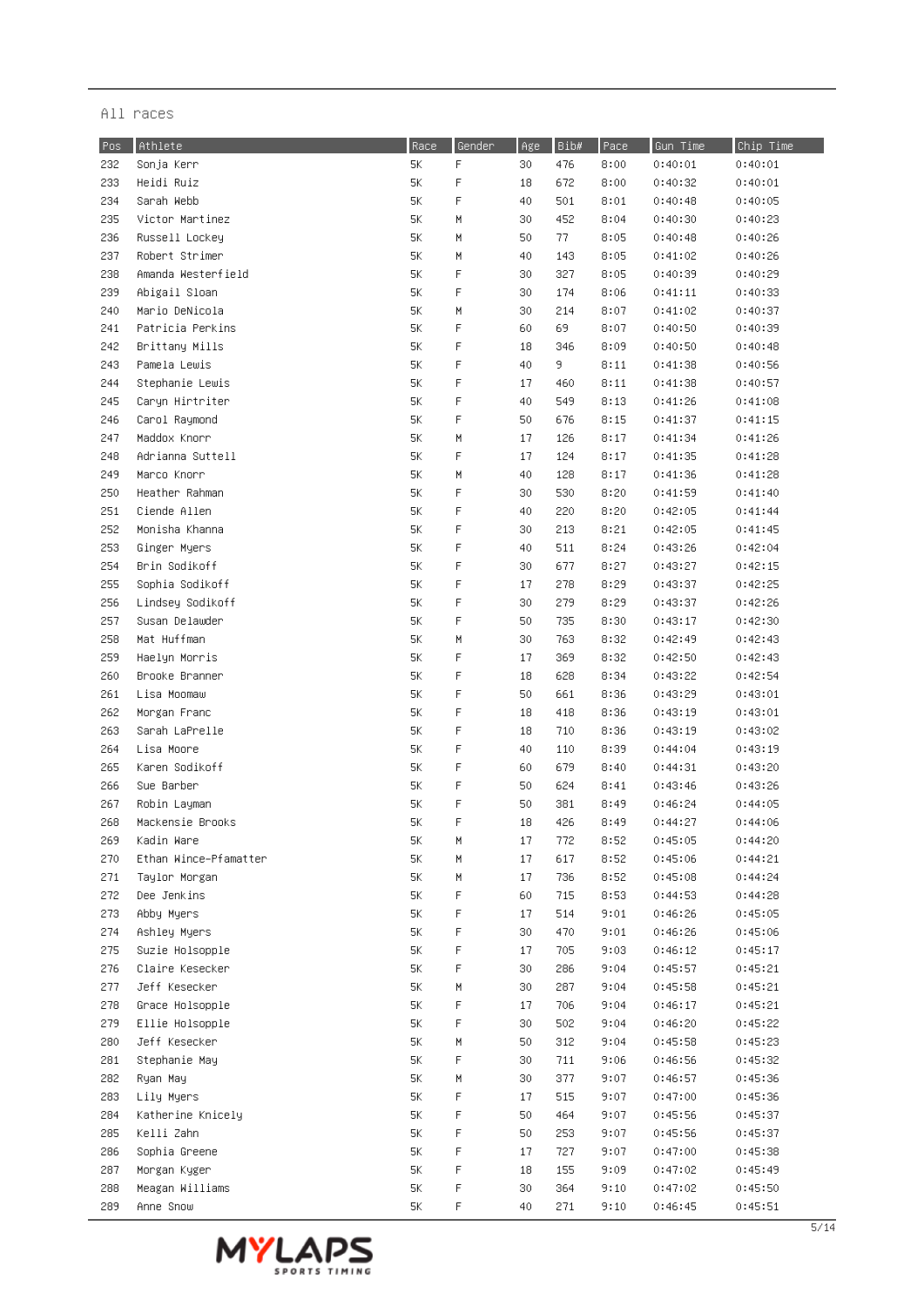| Pos | Athlete               | Race | Gender      | Age | Bib# | Pace | Gun Time | Chip Time |
|-----|-----------------------|------|-------------|-----|------|------|----------|-----------|
| 232 | Sonja Kerr            | 5К   | F           | 30  | 476  | 8:00 | 0:40:01  | 0:40:01   |
| 233 | Heidi Ruiz            | 5Κ   | $\mathsf F$ | 18  | 672  | 8:00 | 0:40:32  | 0:40:01   |
| 234 | Sarah Webb            | 5K   | F           | 40  | 501  | 8:01 | 0:40:48  | 0:40:05   |
| 235 | Victor Martinez       | 5К   | M           | 30  | 452  | 8:04 | 0:40:30  | 0:40:23   |
| 236 | Russell Lockey        | 5К   | M           | 50  | 77.  | 8:05 | 0:40:48  | 0:40:26   |
| 237 | Robert Strimer        | 5К   | M           | 40  | 143  | 8:05 | 0:41:02  | 0:40:26   |
| 238 | Amanda Westerfield    | 5К   | F           | 30  | 327  | 8:05 | 0:40:39  | 0:40:29   |
| 239 | Abigail Sloan         | 5К   | F           | 30  | 174  | 8:06 | 0:41:11  | 0:40:33   |
| 240 | Mario DeNicola        | 5K   | M           | 30  | 214  | 8:07 | 0:41:02  | 0:40:37   |
| 241 | Patricia Perkins      | 5К   | F           | 60  | 69   | 8:07 | 0:40:50  | 0:40:39   |
| 242 | Brittany Mills        | 5К   | F           | 18  | 346  | 8:09 | 0:40:50  | 0:40:48   |
| 243 | Pamela Lewis          | 5К   | F           | 40  | 9.   | 8:11 | 0:41:38  | 0:40:56   |
| 244 | Stephanie Lewis       | 5К   | F           | 17  | 460  | 8:11 | 0:41:38  | 0:40:57   |
| 245 | Caryn Hirtriter       | 5К   | F           | 40  | 549  | 8:13 | 0:41:26  | 0:41:08   |
| 246 | Carol Raymond         | 5К   | F           | 50  | 676  | 8:15 | 0:41:37  | 0:41:15   |
| 247 | Maddox Knorr          | 5К   | M           | 17  | 126  | 8:17 | 0:41:34  | 0:41:26   |
| 248 | Adrianna Suttell      | 5К   | F           | 17  | 124  | 8:17 | 0:41:35  | 0:41:28   |
| 249 | Marco Knorr           | 5К   | M           | 40  | 128  | 8:17 | 0:41:36  | 0:41:28   |
| 250 | Heather Rahman        | 5К   | F           | 30  | 530  | 8:20 | 0:41:59  | 0:41:40   |
| 251 | Ciende Allen          | 5К   | F           | 40  | 220  | 8:20 | 0:42:05  | 0:41:44   |
| 252 | Monisha Khanna        | 5К   | F           | 30  | 213  | 8:21 | 0:42:05  | 0:41:45   |
| 253 | Ginger Myers          | 5К   | F           | 40  | 511  | 8:24 | 0:43:26  | 0:42:04   |
| 254 | Brin Sodikoff         | 5К   | F           | 30  | 677  | 8:27 | 0:43:27  | 0:42:15   |
| 255 | Sophia Sodikoff       | 5К   | F           | 17  | 278  | 8:29 | 0:43:37  | 0:42:25   |
| 256 | Lindsey Sodikoff      | 5К   | F           | 30  | 279  | 8:29 | 0:43:37  | 0:42:26   |
| 257 | Susan Delawder        | 5К   | F           | 50  | 735  | 8:30 | 0:43:17  | 0:42:30   |
| 258 | Mat Huffman           | 5К   | M           | 30  | 763  | 8:32 | 0:42:49  | 0:42:43   |
| 259 | Haelyn Morris         | 5K   | F           | 17  | 369  | 8:32 | 0:42:50  | 0:42:43   |
| 260 | Brooke Branner        | 5К   | F           | 18  | 628  | 8:34 | 0:43:22  | 0:42:54   |
| 261 | Lisa Moomaw           | 5К   | F           | 50  | 661  | 8:36 | 0:43:29  | 0:43:01   |
| 262 | Morgan Franc          | 5К   | F           | 18  | 418  | 8:36 | 0:43:19  | 0:43:01   |
| 263 | Sarah LaPrelle        | 5К   | F           | 18  | 710  | 8:36 | 0:43:19  | 0:43:02   |
| 264 | Lisa Moore            | 5К   | F           | 40  | 110  | 8:39 | 0:44:04  | 0:43:19   |
| 265 | Karen Sodikoff        | 5К   | F           | 60  | 679  | 8:40 | 0:44:31  | 0:43:20   |
| 266 | Sue Barber            | 5Κ   | F           | 50  | 624  | 8:41 | 0:43:46  | 0:43:26   |
| 267 | Robin Layman          | 5K   | F           | 50  | 381  | 8:49 | 0:46:24  | 0:44:05   |
| 268 | Mackensie Brooks      | 5К   | F           | 18  | 426  | 8:49 | 0:44:27  | 0:44:06   |
| 269 | Kadin Ware            | 5K   | М           | 17  | 772  | 8:52 | 0:45:05  | 0:44:20   |
| 270 | Ethan Wince-Pfamatter | 5Κ   | М           | 17  | 617  | 8:52 | 0:45:06  | 0:44:21   |
| 271 | Taylor Morgan         | 5Κ   | М           | 17  | 736  | 8:52 | 0:45:08  | 0:44:24   |
| 272 | Dee Jenkins           | 5К   | F           | 60  | 715  | 8:53 | 0:44:53  | 0:44:28   |
| 273 | Abby Myers            | 5К   | F           | 17  | 514  | 9:01 | 0:46:26  | 0:45:05   |
| 274 | Ashley Myers          | 5К   | F           | 30  | 470  | 9:01 | 0:46:26  | 0:45:06   |
| 275 | Suzie Holsopple       | 5К   | F           | 17  | 705  | 9:03 | 0:46:12  | 0:45:17   |
| 276 | Claire Kesecker       | 5Κ.  | F           | 30  | 286  | 9:04 | 0:45:57  | 0:45:21   |
| 277 | Jeff Kesecker         | 5Κ.  | H           | 30  | 287  | 9:04 | 0:45:58  | 0:45:21   |
| 278 | Grace Holsopple       | 5К   | F           | 17  | 706  | 9:04 | 0:46:17  | 0:45:21   |
| 279 | Ellie Holsopple       | 5К   | F           | 30  | 502  | 9:04 | 0:46:20  | 0:45:22   |
| 280 | Jeff Kesecker         | 5Κ.  | M           | 50  | 312  | 9:04 | 0:45:58  | 0:45:23   |
| 281 | Stephanie May         | 5Κ.  | F           | 30  | 711  | 9:06 | 0:46:56  | 0:45:32   |
| 282 | Ryan May              | 5К   | М           | 30  | 377  | 9:07 | 0:46:57  | 0:45:36   |
| 283 | Lily Myers            | 5Κ.  | F           | 17  | 515  | 9:07 | 0:47:00  | 0:45:36   |
| 284 | Katherine Knicely     | 5Κ.  | F           | 50  | 464  | 9:07 | 0:45:56  | 0:45:37   |
| 285 | Kelli Zahn            | 5Κ   | F           | 50  | 253  | 9:07 | 0:45:56  | 0:45:37   |
| 286 | Sophia Greene         | 5К   | F           | 17  | 727  | 9:07 | 0:47:00  | 0:45:38   |
| 287 | Morgan Kyger          | 5Κ   | F           | 18  | 155  | 9:09 | 0:47:02  | 0:45:49   |
| 288 | Meagan Williams       | 5K   | F           | 30  | 364  | 9:10 | 0:47:02  | 0:45:50   |
| 289 | Anne Snow             | 5К   | F           | 40  | 271  | 9:10 | 0:46:45  | 0:45:51   |

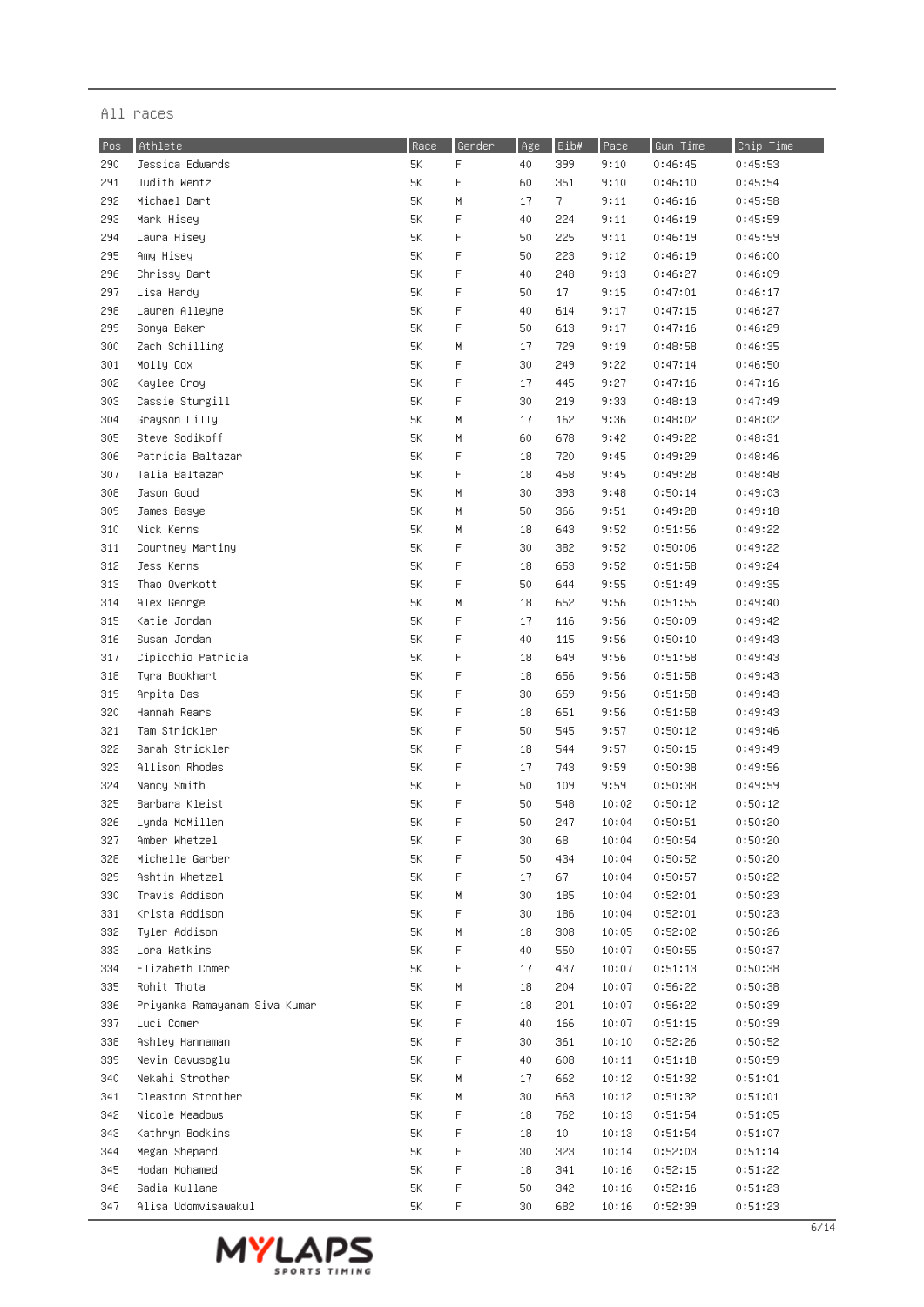| Pos | Athlete                       | Race | Gender | Age | Bib# | Pace  | Gun Time | Chip Time |
|-----|-------------------------------|------|--------|-----|------|-------|----------|-----------|
| 290 | Jessica Edwards               | 5К   | F      | 40  | 399  | 9:10  | 0:46:45  | 0:45:53   |
| 291 | Judith Wentz                  | 5K   | F      | 60  | 351  | 9:10  | 0:46:10  | 0:45:54   |
| 292 | Michael Dart                  | 5К   | М      | 17  | 7    | 9:11  | 0:46:16  | 0:45:58   |
| 293 | Mark Hisey                    | 5K   | F      | 40  | 224  | 9:11  | 0:46:19  | 0:45:59   |
| 294 | Laura Hisey                   | 5К   | F      | 50  | 225  | 9:11  | 0:46:19  | 0:45:59   |
| 295 | Amy Hisey                     | 5К   | F      | 50  | 223  | 9:12  | 0:46:19  | 0:46:00   |
| 296 | Chrissy Dart                  | 5K   | F      | 40  | 248  | 9:13  | 0:46:27  | 0:46:09   |
| 297 | Lisa Hardy                    | 5К   | F      | 50  | 17   | 9:15  | 0:47:01  | 0:46:17   |
| 298 | Lauren Alleyne                | 5К   | F      | 40  | 614  | 9:17  | 0:47:15  | 0:46:27   |
| 299 | Sonya Baker                   | 5К   | F      | 50  | 613  | 9:17  | 0:47:16  | 0:46:29   |
| 300 | Zach Schilling                | 5К   | М      | 17  | 729  | 9:19  | 0:48:58  | 0:46:35   |
| 301 | Molly Cox                     | 5К   | F      | 30  | 249  | 9:22  | 0:47:14  | 0:46:50   |
| 302 | Kaylee Croy                   | 5К   | F      | 17  | 445  | 9:27  | 0:47:16  | 0:47:16   |
| 303 | Cassie Sturgill               | 5К   | F      | 30  | 219  | 9:33  | 0:48:13  | 0:47:49   |
| 304 | Grayson Lilly                 | 5К   | М      | 17  | 162  | 9:36  | 0:48:02  | 0:48:02   |
| 305 | Steve Sodikoff                | 5К   | М      | 60  | 678  | 9:42  | 0:49:22  | 0:48:31   |
| 306 | Patricia Baltazar             | 5К   | F      | 18  | 720  | 9:45  | 0:49:29  | 0:48:46   |
| 307 | Talia Baltazar                | 5К   | F      | 18  | 458  | 9:45  | 0:49:28  | 0:48:48   |
| 308 | Jason Good                    | 5K   | М      | 30  | 393  | 9:48  | 0:50:14  | 0:49:03   |
| 309 | James Basye                   | 5К   | М      | 50  | 366  | 9:51  | 0:49:28  | 0:49:18   |
| 310 | Nick Kerns                    | 5К   | М      | 18  | 643  | 9:52  | 0:51:56  | 0:49:22   |
| 311 | Courtney Martiny              | 5К   | F      | 30  | 382  | 9:52  | 0:50:06  | 0:49:22   |
| 312 | Jess Kerns                    | 5К   | F      | 18  | 653  | 9:52  | 0:51:58  | 0:49:24   |
| 313 | Thao Overkott                 | 5К   | F      | 50  | 644  | 9:55  | 0:51:49  | 0:49:35   |
| 314 | Alex George                   | 5К   | М      | 18  | 652  | 9:56  | 0:51:55  | 0:49:40   |
| 315 | Katie Jordan                  | 5К   | F      | 17  | 116  | 9:56  | 0:50:09  | 0:49:42   |
| 316 | Susan Jordan                  | 5К   | F      | 40  | 115  | 9:56  | 0:50:10  | 0:49:43   |
| 317 | Cipicchio Patricia            | 5K   | F      | 18  | 649  | 9:56  | 0:51:58  | 0:49:43   |
| 318 | Tyra Bookhart                 | 5К   | F      | 18  | 656  | 9:56  | 0:51:58  | 0:49:43   |
| 319 | Arpita Das                    | 5К   | F      | 30  | 659  | 9:56  | 0:51:58  | 0:49:43   |
| 320 | Hannah Rears                  | 5К   | F      | 18  | 651  | 9:56  | 0:51:58  | 0:49:43   |
| 321 | Tam Strickler                 | 5К   | F      | 50  | 545  | 9:57  | 0:50:12  | 0:49:46   |
| 322 | Sarah Strickler               | 5К   | F      | 18  | 544  | 9:57  | 0:50:15  | 0:49:49   |
| 323 | Allison Rhodes                | 5К   | F      | 17  | 743  | 9:59  | 0:50:38  | 0:49:56   |
| 324 | Nancy Smith                   | 5К   | F      | 50  | 109  | 9:59  | 0:50:38  | 0:49:59   |
| 325 | Barbara Kleist                | 5К   | F      | 50  | 548  | 10:02 | 0:50:12  | 0:50:12   |
| 326 | Lynda McMillen                | 5К   | F      | 50  | 247  | 10:04 | 0:50:51  | 0:50:20   |
| 327 | Amber Whetzel                 | 5К   | F      | 30  | 68   | 10:04 | 0:50:54  | 0:50:20   |
| 328 | Michelle Garber               | 5К   | F      | 50  | 434  | 10:04 | 0:50:52  | 0:50:20   |
| 329 | Ashtin Whetzel                | 5K   | F      | 17  | 67   | 10:04 | 0:50:57  | 0:50:22   |
| 330 | Travis Addison                | 5К   | H      | 30  | 185  | 10:04 | 0:52:01  | 0:50:23   |
| 331 | Krista Addison                | 5К   | F      | 30  | 186  | 10:04 | 0:52:01  | 0:50:23   |
| 332 | Tyler Addison                 | 5К   | H      | 18  | 308  | 10:05 | 0:52:02  | 0:50:26   |
| 333 | Lora Watkins                  | 5К   | F      | 40  | 550  | 10:07 | 0:50:55  | 0:50:37   |
| 334 | Elizabeth Comer               | 5К   | F      | 17  | 437  | 10:07 | 0:51:13  | 0:50:38   |
| 335 | Rohit Thota                   | 5К   | H      | 18  | 204  | 10:07 | 0:56:22  | 0:50:38   |
| 336 | Priyanka Ramayanam Siva Kumar | 5К   | F      | 18  | 201  | 10:07 | 0:56:22  | 0:50:39   |
| 337 | Luci Comer                    | 5К   | F      | 40  | 166  | 10:07 | 0:51:15  | 0:50:39   |
| 338 | Ashley Hannaman               | 5К   | F      | 30  | 361  | 10:10 | 0:52:26  | 0:50:52   |
| 339 | Nevin Cavusoglu               | 5К   | F      | 40  | 608  | 10:11 | 0:51:18  | 0:50:59   |
| 340 | Nekahi Strother               | 5К   | Μ      | 17  | 662  | 10:12 | 0:51:32  | 0:51:01   |
| 341 | Cleaston Strother             | 5К   | Μ      | 30  | 663  | 10:12 | 0:51:32  | 0:51:01   |
| 342 | Nicole Meadows                | 5К   | F      | 18  | 762  | 10:13 | 0:51:54  | 0:51:05   |
| 343 | Kathryn Bodkins               | 5К   | F      | 18  | 10   | 10:13 | 0:51:54  | 0:51:07   |
| 344 | Megan Shepard                 | 5К   | F      | 30  | 323  | 10:14 | 0:52:03  | 0:51:14   |
| 345 | Hodan Mohamed                 | 5К   | F      | 18  | 341  | 10:16 | 0:52:15  | 0:51:22   |
| 346 | Sadia Kullane                 | 5К   | F      | 50  | 342  | 10:16 | 0:52:16  | 0:51:23   |
| 347 | Alisa Udomvisawakul           | 5К   | F      | 30  | 682  | 10:16 | 0:52:39  | 0:51:23   |

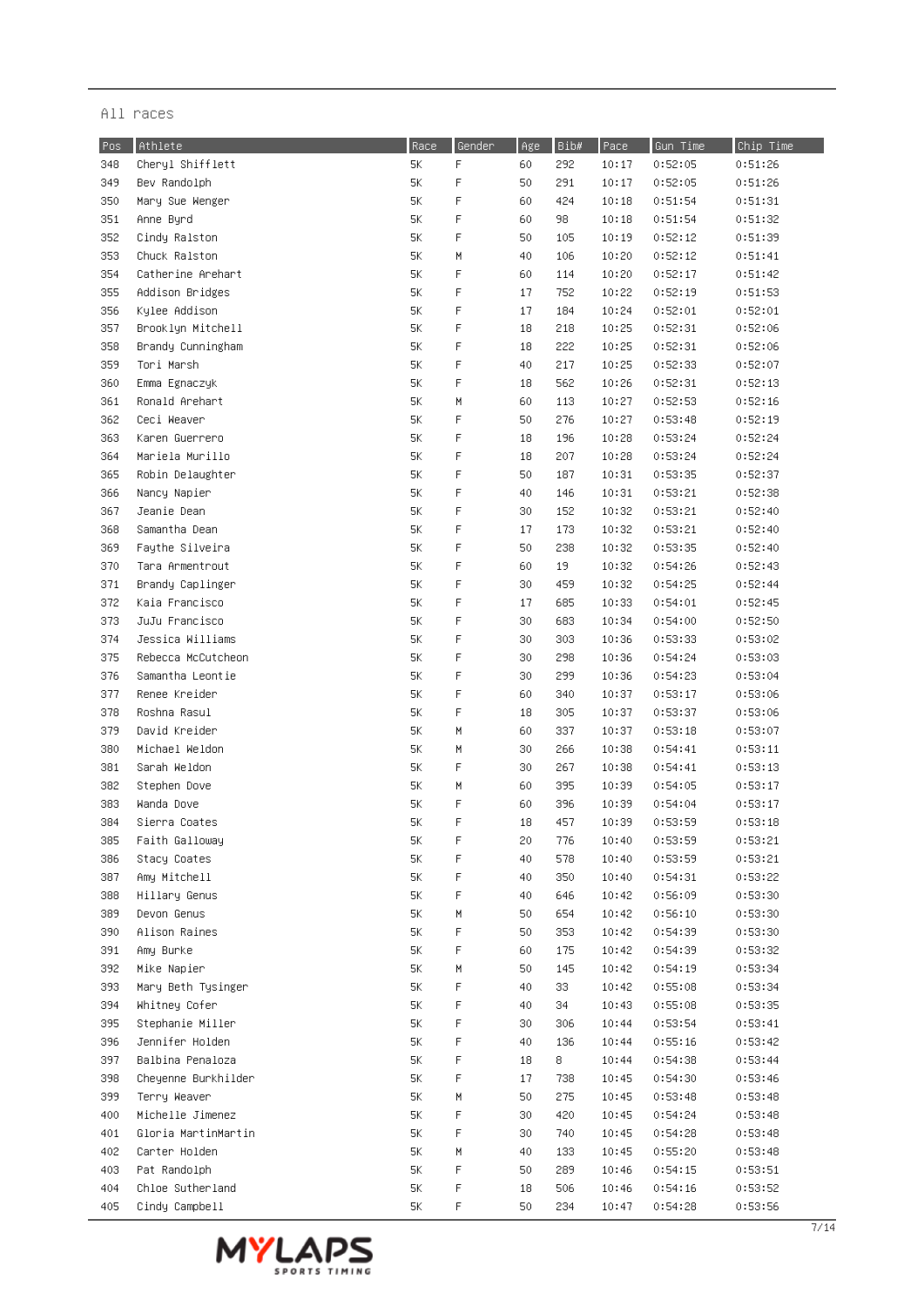| Pos | Athlete             | Race | Gender | Age | Bib#       | Pace  | Gun Time | Chip Time |
|-----|---------------------|------|--------|-----|------------|-------|----------|-----------|
| 348 | Cheryl Shifflett    | 5K   | F      | 60  | 292        | 10:17 | 0:52:05  | 0:51:26   |
| 349 | Bev Randolph        | $5K$ | F      | 50  | 291        | 10:17 | 0:52:05  | 0:51:26   |
| 350 | Mary Sue Wenger     | 5K   | F      | 60  | 424        | 10:18 | 0:51:54  | 0:51:31   |
| 351 | Anne Byrd           | 5К   | F      | 60  | 98         | 10:18 | 0:51:54  | 0:51:32   |
| 352 | Cindy Ralston       | 5К   | F      | 50  | 105        | 10:19 | 0:52:12  | 0:51:39   |
| 353 | Chuck Ralston       | 5К   | Μ      | 40  | 106        | 10:20 | 0:52:12  | 0:51:41   |
| 354 | Catherine Arehart   | 5К   | F      | 60  | 114        | 10:20 | 0:52:17  | 0:51:42   |
| 355 | Addison Bridges     | 5К   | F      | 17  | 752        | 10:22 | 0:52:19  | 0:51:53   |
| 356 | Kylee Addison       | 5K   | F      | 17  | 184        | 10:24 | 0:52:01  | 0:52:01   |
| 357 | Brooklyn Mitchell   | 5K   | F      | 18  | 218        | 10:25 | 0:52:31  | 0:52:06   |
| 358 | Brandy Cunningham   | 5К   | F      | 18  | 222        | 10:25 | 0:52:31  | 0:52:06   |
| 359 | Tori Marsh          | 5К   | F      | 40  | 217        | 10:25 | 0:52:33  | 0:52:07   |
| 360 | Emma Egnaczyk       | 5К   | F      | 18  | 562        | 10:26 | 0:52:31  | 0:52:13   |
| 361 | Ronald Arehart      | 5К   | M      | 60  |            | 10:27 | 0:52:53  | 0:52:16   |
| 362 | Ceci Weaver         | 5К   | F      | 50  | 113<br>276 |       | 0:53:48  | 0:52:19   |
|     |                     |      | F      |     |            | 10:27 |          |           |
| 363 | Karen Guerrero      | 5К   |        | 18  | 196        | 10:28 | 0:53:24  | 0:52:24   |
| 364 | Mariela Murillo     | 5К   | F      | 18  | 207        | 10:28 | 0:53:24  | 0:52:24   |
| 365 | Robin Delaughter    | 5К   | F      | 50  | 187        | 10:31 | 0:53:35  | 0:52:37   |
| 366 | Nancy Napier        | 5К   | F      | 40  | 146        | 10:31 | 0:53:21  | 0:52:38   |
| 367 | Jeanie Dean         | 5К   | F      | 30  | 152        | 10:32 | 0:53:21  | 0:52:40   |
| 368 | Samantha Dean       | 5К   | F      | 17  | 173        | 10:32 | 0:53:21  | 0:52:40   |
| 369 | Faythe Silveira     | 5К   | F      | 50  | 238        | 10:32 | 0:53:35  | 0:52:40   |
| 370 | Tara Armentrout     | 5К   | F      | 60  | 19         | 10:32 | 0:54:26  | 0:52:43   |
| 371 | Brandy Caplinger    | 5К   | F      | 30  | 459        | 10:32 | 0:54:25  | 0:52:44   |
| 372 | Kaia Francisco      | 5К   | F      | 17  | 685        | 10:33 | 0:54:01  | 0:52:45   |
| 373 | JuJu Francisco      | 5К   | F      | 30  | 683        | 10:34 | 0:54:00  | 0:52:50   |
| 374 | Jessica Williams    | 5К   | F      | 30  | 303        | 10:36 | 0:53:33  | 0:53:02   |
| 375 | Rebecca McCutcheon  | 5К   | F      | 30  | 298        | 10:36 | 0:54:24  | 0:53:03   |
| 376 | Samantha Leontie    | 5К   | F      | 30  | 299        | 10:36 | 0:54:23  | 0:53:04   |
| 377 | Renee Kreider       | 5К   | F      | 60  | 340        | 10:37 | 0:53:17  | 0:53:06   |
| 378 | Roshna Rasul        | 5К   | F      | 18  | 305        | 10:37 | 0:53:37  | 0:53:06   |
| 379 | David Kreider       | 5К   | M      | 60  | 337        | 10:37 | 0:53:18  | 0:53:07   |
| 380 | Michael Weldon      | 5К   | М      | 30  | 266        | 10:38 | 0:54:41  | 0:53:11   |
| 381 | Sarah Weldon        | 5К   | F      | 30  | 267        | 10:38 | 0:54:41  | 0:53:13   |
| 382 | Stephen Dove        | 5К   | M      | 60  | 395        | 10:39 | 0:54:05  | 0:53:17   |
| 383 | Wanda Dove          | 5K   | F      | 60  | 396        | 10:39 | 0:54:04  | 0:53:17   |
| 384 | Sierra Coates       | 5К   | F      | 18  | 457        | 10:39 | 0:53:59  | 0:53:18   |
| 385 | Faith Galloway      | 5К   | F      | 20  | 776        | 10:40 | 0:53:59  | 0:53:21   |
| 386 | Stacy Coates        | 5К   | F      | 40  | 578        | 10:40 | 0:53:59  | 0:53:21   |
| 387 | Amy Mitchell        | 5К   | F      | 40  | 350        | 10:40 | 0:54:31  | 0:53:22   |
| 388 | Hillary Genus       | 5К   | F      | 40  | 646        | 10:42 | 0:56:09  | 0:53:30   |
| 389 | Devon Genus         | 5К   | М      | 50  | 654        | 10:42 | 0:56:10  | 0:53:30   |
| 390 | Alison Raines       | 5К   | F      | 50  | 353        | 10:42 | 0:54:39  | 0:53:30   |
| 391 | Amy Burke           | 5К   | F      | 60  | 175        | 10:42 | 0:54:39  | 0:53:32   |
| 392 | Mike Napier         | 5К   | М      | 50  | 145        | 10:42 | 0:54:19  | 0:53:34   |
| 393 | Mary Beth Tysinger  | 5К   | F      | 40  | 33         | 10:42 | 0:55:08  | 0:53:34   |
| 394 | Whitney Cofer       | 5К   | F      | 40  | 34         | 10:43 | 0:55:08  | 0:53:35   |
| 395 | Stephanie Miller    | 5Κ.  | F      | 30  | 306        | 10:44 | 0:53:54  | 0:53:41   |
| 396 | Jennifer Holden     | 5К   | F      | 40  | 136        | 10:44 | 0:55:16  | 0:53:42   |
| 397 | Balbina Penaloza    | 5К   | F      | 18  | 8          | 10:44 | 0:54:38  | 0:53:44   |
| 398 | Cheyenne Burkhilder | 5К   | F      | 17  | 738        | 10:45 | 0:54:30  | 0:53:46   |
| 399 | Terry Weaver        | 5К   | M      | 50  | 275        | 10:45 | 0:53:48  | 0:53:48   |
| 400 | Michelle Jimenez    | 5К   | F      | 30  | 420        | 10:45 | 0:54:24  | 0:53:48   |
| 401 | Gloria MartinMartin | 5К   | F      | 30  | 740        | 10:45 | 0:54:28  | 0:53:48   |
| 402 | Carter Holden       | 5К   | M      | 40  | 133        | 10:45 | 0:55:20  | 0:53:48   |
| 403 | Pat Randolph        | 5К   | F      | 50  | 289        | 10:46 | 0:54:15  | 0:53:51   |
| 404 | Chloe Sutherland    | 5К   | F      | 18  | 506        | 10:46 | 0:54:16  | 0:53:52   |
| 405 | Cindy Campbell      | 5К   | F      | 50  | 234        | 10:47 | 0:54:28  | 0:53:56   |
|     |                     |      |        |     |            |       |          |           |

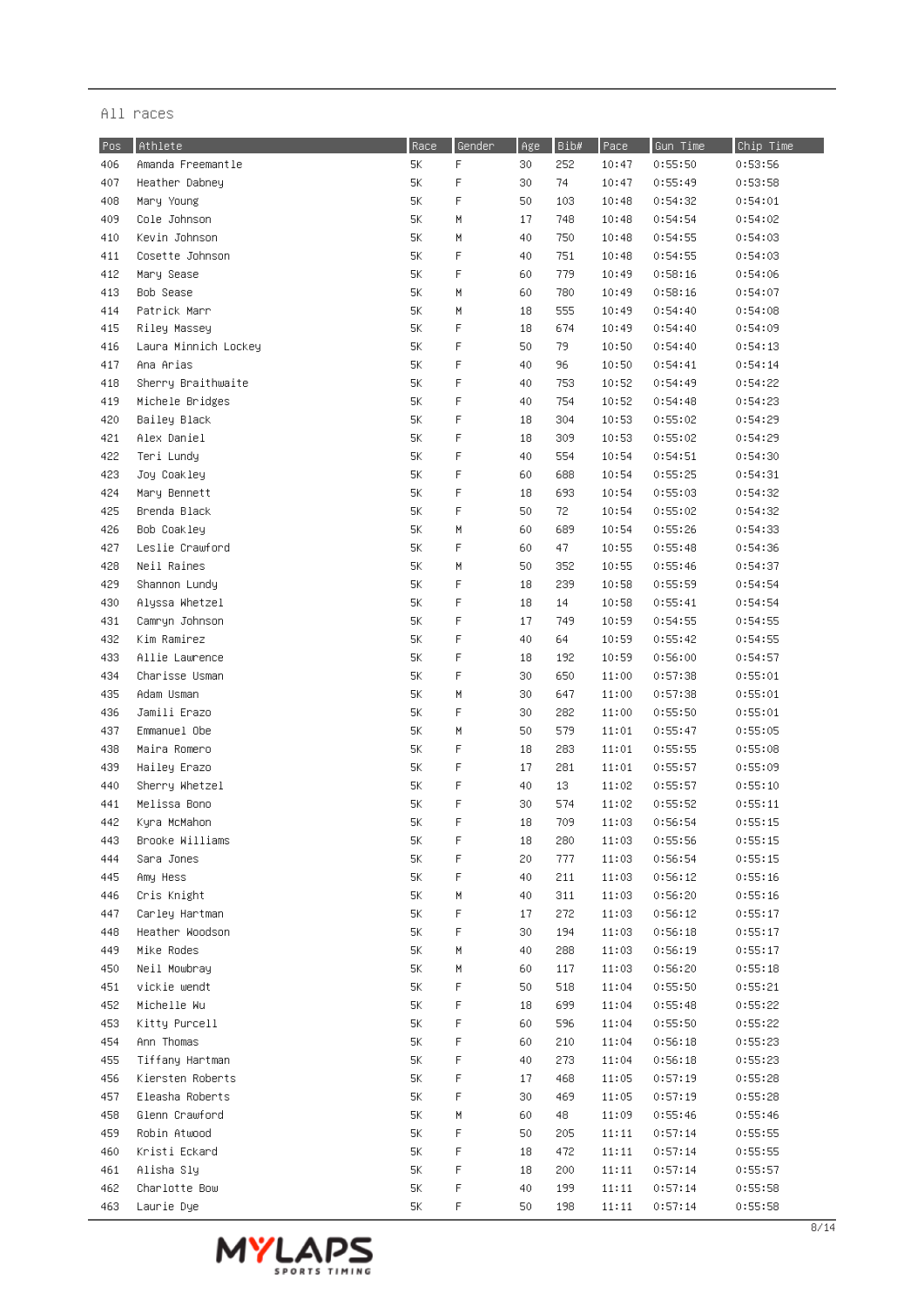| Pos | Athlete              | Race | Gender      | Age | Bib# | Pace    | Gun Time | Chip Time |
|-----|----------------------|------|-------------|-----|------|---------|----------|-----------|
| 406 | Amanda Freemantle    | 5K   | F           | 30  | 252  | 10:47   | 0:55:50  | 0:53:56   |
| 407 | Heather Dabney       | 5Κ   | $\mathsf F$ | 30  | 74   | 10:47   | 0:55:49  | 0:53:58   |
| 408 | Mary Young           | 5K   | $\mathsf F$ | 50  | 103  | 10:48   | 0:54:32  | 0:54:01   |
| 409 | Cole Johnson         | 5К   | М           | 17  | 748  | 10:48   | 0:54:54  | 0:54:02   |
| 410 | Kevin Johnson        | 5K   | H           | 40  | 750  | 10:48   | 0:54:55  | 0:54:03   |
| 411 | Cosette Johnson      | 5К   | $\mathsf F$ | 40  | 751  | 10:48   | 0:54:55  | 0:54:03   |
| 412 | Mary Sease           | 5K   | $\mathsf F$ | 60  | 779  | 10:49   | 0:58:16  | 0:54:06   |
| 413 | Bob Sease            | 5Κ   | М           | 60  | 780  | 10:49   | 0:58:16  | 0:54:07   |
| 414 | Patrick Marr         | 5K   | M           | 18  | 555  | 10:49   | 0:54:40  | 0:54:08   |
| 415 | Riley Massey         | 5K   | F           | 18  | 674  | 10:49   | 0:54:40  | 0:54:09   |
| 416 | Laura Minnich Lockey | 5К   | F           | 50  | 79   | 10:50   | 0:54:40  | 0:54:13   |
| 417 | Ana Arias            | 5К   | F           | 40  | 96   | 10:50   | 0:54:41  | 0:54:14   |
| 418 | Sherry Braithwaite   | 5К   | F           | 40  | 753  | 10:52   | 0:54:49  | 0:54:22   |
| 419 | Michele Bridges      | 5К   | F           | 40  | 754  | 10:52   | 0:54:48  | 0:54:23   |
| 420 | Bailey Black         | 5K   | F           | 18  | 304  | 10:53   | 0:55:02  | 0:54:29   |
| 421 | Alex Daniel          | 5К   | F           | 18  | 309  | 10:53   | 0:55:02  | 0:54:29   |
| 422 | Teri Lundy           | 5K   | F           | 40  | 554  | 10:54   | 0:54:51  | 0:54:30   |
| 423 | Joy Coakley          | 5К   | F           | 60  | 688  | 10:54   | 0:55:25  | 0:54:31   |
| 424 | Mary Bennett         | 5К   | F           | 18  | 693  | 10:54   | 0:55:03  | 0:54:32   |
| 425 | Brenda Black         | 5К   | F           | 50  | 72   | 10:54   | 0:55:02  | 0:54:32   |
| 426 | Bob Coakley          | 5К   | M           | 60  | 689  | 10:54   | 0:55:26  | 0:54:33   |
| 427 | Leslie Crawford      | 5К   | F           | 60  | 47   | 10:55   | 0:55:48  | 0:54:36   |
| 428 | Neil Raines          | 5К   | М           | 50  | 352  | 10:55   | 0:55:46  | 0:54:37   |
| 429 | Shannon Lundy        | 5K   | F           | 18  | 239  | 10:58   | 0:55:59  | 0:54:54   |
| 430 | Alyssa Whetzel       | 5К   | F           | 18  | 14   | 10:58   | 0:55:41  | 0:54:54   |
| 431 | Camryn Johnson       | 5К   | F           | 17  | 749  | 10:59   | 0:54:55  | 0:54:55   |
| 432 | Kim Ramirez          | 5К   | F           | 40  | 64   | 10:59   | 0:55:42  | 0:54:55   |
| 433 | Allie Lawrence       | 5K   | F           | 18  | 192  | 10:59   | 0:56:00  | 0:54:57   |
| 434 | Charisse Usman       | 5K   | $\mathsf F$ | 30  | 650  | 11:00   | 0:57:38  | 0:55:01   |
| 435 | Adam Usman           | 5K   | M           | 30  | 647  | 11:00   | 0:57:38  | 0:55:01   |
| 436 | Jamili Erazo         | 5K   | F           | 30  | 282  | 11:00   | 0:55:50  | 0:55:01   |
| 437 | Emmanuel Obe         | 5К   | M           | 50  | 579  | 11:01   | 0:55:47  | 0:55:05   |
| 438 | Maira Romero         | 5К   | F           | 18  | 283  | 11:01   | 0:55:55  | 0:55:08   |
| 439 | Hailey Erazo         | 5К   | F           | 17  | 281  | 11:01   | 0:55:57  | 0:55:09   |
| 440 | Sherry Whetzel       | 5Κ   | F           | 40  | 13   | 11:02   | 0:55:57  | 0:55:10   |
| 441 | Melissa Bono         | 5K   | F           | 30  | 574  | 11:02   | 0:55:52  | 0:55:11   |
| 442 | Kyra McMahon         | 5K   | F           | 18  | 709  | 11:03   | 0:56:54  | 0:55:15   |
| 443 | Brooke Williams      | 5K   | F           | 18  | 280  | 11:03   | 0:55:56  | 0:55:15   |
| 444 | Sara Jones           | 5К   | F           | 20  | 777  | 11:03   | 0:56:54  | 0:55:15   |
| 445 | Amy Hess             | 5Κ   | F           | 40  | 211  | 11:03   | 0:56:12  | 0:55:16   |
| 446 | Cris Knight          | 5Κ   | H           | 40  | 311  | 11:03   | 0:56:20  | 0:55:16   |
| 447 | Carley Hartman       | 5К   | F           | 17  | 272  | 11:03   | 0:56:12  | 0:55:17   |
| 448 | Heather Woodson      | 5К   | F           | 30  | 194  | 11:03   | 0:56:18  | 0:55:17   |
| 449 | Mike Rodes           | 5К   | М           | 40  | 288  | 11:03   | 0:56:19  | 0:55:17   |
| 450 | Neil Mowbray         | 5К   | М           | 60  | 117  | 11:03   | 0:56:20  | 0:55:18   |
| 451 | vickie wendt         | 5К   | F           | 50  | 518  | 11:04   | 0:55:50  | 0:55:21   |
| 452 | Michelle Wu          | 5К   | F           | 18  | 699  | 11:04   | 0:55:48  | 0:55:22   |
| 453 | Kitty Purcell        | 5К   | F           | 60  | 596  | 11:04   | 0:55:50  | 0:55:22   |
| 454 | Ann Thomas           | 5К   | F           | 60  | 210  | 11:04   | 0:56:18  | 0:55:23   |
| 455 | Tiffany Hartman      | 5К   | F           | 40  | 273  | 11:04   | 0:56:18  | 0:55:23   |
| 456 | Kiersten Roberts     | 5К   | F           | 17  | 468  | 11:05   | 0:57:19  | 0:55:28   |
| 457 | Eleasha Roberts      | 5К   | F           | 30  | 469  | 11:05   | 0:57:19  | 0:55:28   |
| 458 | Glenn Crawford       | 5К   | М           | 60  | 48   | 11:09   | 0:55:46  | 0:55:46   |
| 459 | Robin Atwood         | 5Κ   | F           | 50  | 205  | 11:11   | 0:57:14  | 0:55:55   |
| 460 | Kristi Eckard        | 5Κ   | F           | 18  | 472  | 11:11   | 0:57:14  | 0:55:55   |
| 461 | Alisha Sly           | 5Κ   | F           | 18  | 200  | 11:11   | 0:57:14  | 0:55:57   |
| 462 | Charlotte Bow        | 5К   | F           | 40  | 199  | 11:11   | 0:57:14  | 0:55:58   |
| 463 | Laurie Dye           | 5К   | F           | 50  | 198  | $11:11$ | 0:57:14  | 0:55:58   |

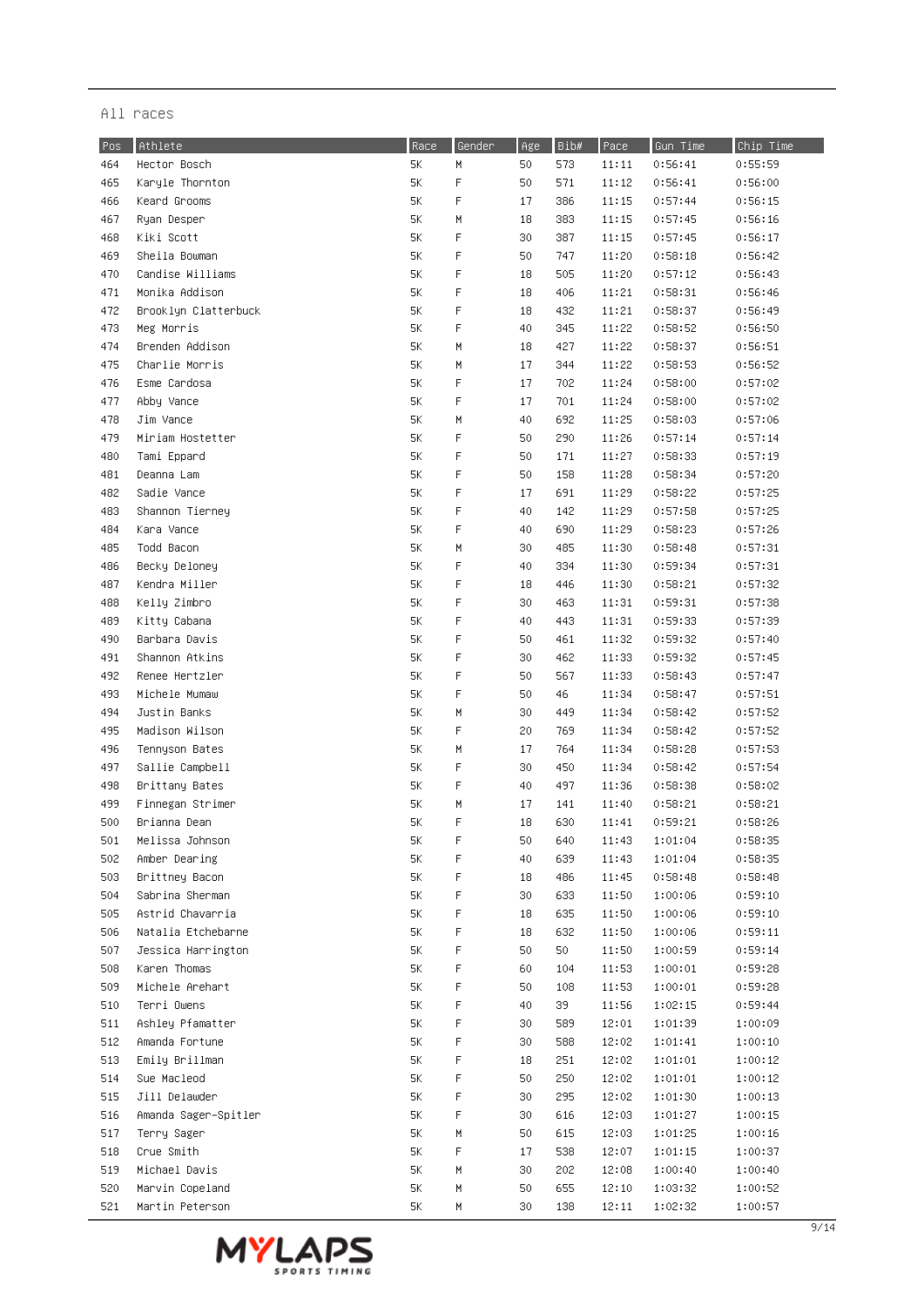| Pos        | Athlete              | Race | Gender      | Age | Bib# | Pace           | Gun Time | Chip Time          |
|------------|----------------------|------|-------------|-----|------|----------------|----------|--------------------|
| 464        | Hector Bosch         | 5К   | М           | 50  | 573  | 11:11          | 0:56:41  | 0:55:59            |
| 465        | Karyle Thornton      | 5Κ   | $\mathsf F$ | 50  | 571  | 11:12          | 0:56:41  | 0:56:00            |
| 466        | Keard Grooms         | 5K   | F           | 17  | 386  | 11:15          | 0:57:44  | 0:56:15            |
| 467        | Ryan Desper          | 5К   | M           | 18  | 383  | 11:15          | 0:57:45  | 0:56:16            |
| 468        | Kiki Scott           | 5К   | $\mathsf F$ | 30  | 387  | 11:15          | 0:57:45  | 0:56:17            |
| 469        | Sheila Bowman        | 5К   | F           | 50  | 747  | 11:20          | 0:58:18  | 0:56:42            |
| 470        | Candise Williams     | 5К   | F           | 18  | 505  | 11:20          | 0:57:12  | 0:56:43            |
| 471        | Monika Addison       | 5Κ   | F           | 18  | 406  | 11:21          | 0:58:31  | 0:56:46            |
| 472        | Brooklyn Clatterbuck | 5K   | $\mathsf F$ | 18  | 432  | 11:21          | 0:58:37  | 0:56:49            |
| 473        | Meg Morris           | 5К   | F           | 40  | 345  | 11:22          | 0:58:52  | 0:56:50            |
| 474        | Brenden Addison      | 5К   | M           | 18  | 427  | 11:22          | 0:58:37  | 0:56:51            |
| 475        | Charlie Morris       | 5К   | M           | 17  | 344  | 11:22          | 0:58:53  | 0:56:52            |
| 476        | Esme Cardosa         | 5К   | F           | 17  | 702  | 11:24          | 0:58:00  | 0:57:02            |
| 477        | Abby Vance           | 5К   | F           | 17  | 701  | 11:24          | 0:58:00  | 0:57:02            |
| 478        | Jim Vance            | 5К   | M           | 40  | 692  | 11:25          | 0:58:03  | 0:57:06            |
| 479        | Miriam Hostetter     | 5К   | F           | 50  | 290  | 11:26          | 0:57:14  | 0:57:14            |
| 480        | Tami Eppard          | 5К   | F           | 50  | 171  | 11:27          | 0:58:33  | 0:57:19            |
| 481        | Deanna Lam           | 5К   | F           | 50  | 158  | 11:28          | 0:58:34  | 0:57:20            |
| 482        | Sadie Vance          | 5К   | F           | 17  | 691  | 11:29          | 0:58:22  | 0:57:25            |
| 483        | Shannon Tierney      | 5К   | F           | 40  | 142  | 11:29          | 0:57:58  | 0:57:25            |
| 484        | Kara Vance           | 5К   | F           | 40  | 690  | 11:29          | 0:58:23  | 0:57:26            |
| 485        | Todd Bacon           | 5К   | M           | 30  | 485  | 11:30          | 0:58:48  | 0:57:31            |
| 486        | Becky Deloney        | 5К   | F           | 40  | 334  | 11:30          | 0:59:34  | 0:57:31            |
| 487        | Kendra Miller        | 5К   | F           | 18  | 446  | 11:30          | 0:58:21  | 0:57:32            |
| 488        | Kelly Zimbro         | 5К   | F           | 30  | 463  | 11:31          | 0:59:31  | 0:57:38            |
| 489        | Kitty Cabana         | 5К   | F           | 40  | 443  | 11:31          | 0:59:33  | 0:57:39            |
| 490        | Barbara Davis        | 5К   | F           | 50  | 461  | 11:32          | 0:59:32  | 0:57:40            |
| 491        | Shannon Atkins       | 5К   | F           | 30  | 462  | 11:33          | 0:59:32  | 0:57:45            |
| 492        | Renee Hertzler       | 5Κ   | F           | 50  | 567  | 11:33          | 0:58:43  | 0:57:47            |
| 493        | Michele Mumaw        | 5K   | F           | 50  | 46   | 11:34          | 0:58:47  | 0:57:51            |
| 494        | Justin Banks         | 5К   | M           | 30  | 449  | 11:34          | 0:58:42  | 0:57:52            |
| 495        | Madison Wilson       | 5К   | F           | 20  | 769  | 11:34          | 0:58:42  | 0:57:52            |
| 496        | Tennyson Bates       | 5Κ   | M           | 17  | 764  | 11:34          | 0:58:28  | 0:57:53            |
| 497        | Sallie Campbell      | 5К   | F           | 30  | 450  | 11:34          | 0:58:42  | 0:57:54            |
| 498        | Brittany Bates       | 5Κ   | F           | 40  | 497  | 11:36          | 0:58:38  | 0:58:02            |
| 499        | Finnegan Strimer     | 5K   | M           | 17  | 141  | 11:40          | 0:58:21  | 0:58:21            |
| 500        | Brianna Dean         | 5K   | F           | 18  | 630  | 11:41          | 0:59:21  | 0:58:26            |
| 501        | Melissa Johnson      | 5K   | F           | 50  | 640  | 11:43          | 1:01:04  | 0:58:35            |
| 502        | Amber Dearing        | 5К   | F           | 40  | 639  | 11:43          | 1:01:04  | 0:58:35            |
| 503        | Brittney Bacon       | 5Κ   | F           | 18  | 486  | 11:45          | 0:58:48  | 0:58:48            |
| 504        | Sabrina Sherman      | 5К   | F           | 30  | 633  | 11:50          | 1:00:06  | 0:59:10            |
| 505        | Astrid Chavarria     | 5К   | F           | 18  | 635  | 11:50          | 1:00:06  | 0:59:10            |
| 506        | Natalia Etchebarne   | 5К   | F           | 18  | 632  | 11:50          | 1:00:06  | 0:59:11            |
| 507        | Jessica Harrington   | 5К   | F           | 50  | 50   | 11:50          | 1:00:59  | 0:59:14            |
| 508        | Karen Thomas         | 5К   | F           | 60  | 104  | 11:53          | 1:00:01  | 0:59:28            |
| 509        | Michele Arehart      | 5К   | F           | 50  | 108  | 11:53          | 1:00:01  | 0:59:28            |
| 510        | Terri Owens          | 5К   | F           | 40  | 39   | 11:56          | 1:02:15  | 0:59:44            |
| 511        | Ashley Pfamatter     | 5К   | F           | 30  | 589  | 12:01          | 1:01:39  | 1:00:09            |
| 512        | Amanda Fortune       | 5К   | F           | 30  | 588  | 12:02          | 1:01:41  | 1:00:10            |
| 513        | Emily Brillman       | 5К   | F           | 18  | 251  | 12:02          | 1:01:01  |                    |
| 514        | Sue Macleod          | 5К   | F           | 50  | 250  | 12:02          | 1:01:01  | 1:00:12<br>1:00:12 |
| 515        | Jill Delawder        | 5К   | F           | 30  | 295  | 12:02          | 1:01:30  | 1:00:13            |
| 516        | Amanda Sager–Spitler | 5К   | F           | 30  | 616  | 12:03          | 1:01:27  | 1:00:15            |
| 517        | Terry Sager          | 5Κ   | H           | 50  | 615  | 12:03          | 1:01:25  | 1:00:16            |
|            | Crue Smith           | 5К   | F           |     | 538  |                | 1:01:15  |                    |
| 518        | Michael Davis        | 5Κ   |             | 17  | 202  | 12:07          |          | 1:00:37            |
| 519<br>520 | Marvin Copeland      | 5К   | H<br>М      | 30  | 655  | 12:08<br>12:10 | 1:00:40  | 1:00:40            |
|            |                      |      |             | 50  |      |                | 1:03:32  | 1:00:52            |
| 521        | Martin Peterson      | 5Κ   | H           | 30  | 138  | 12:11          | 1:02:32  | 1:00:57            |

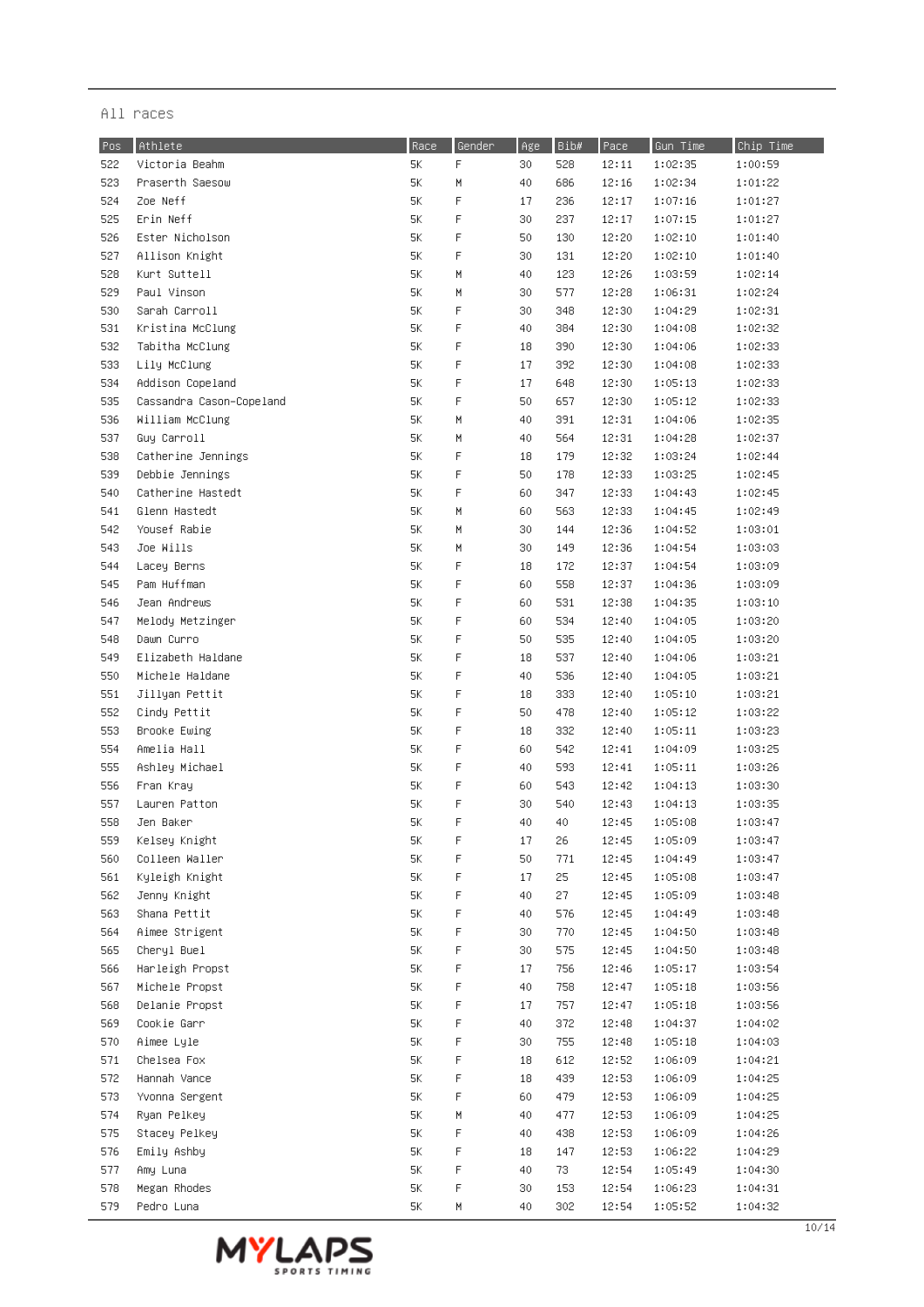| F<br>5K<br>522<br>Victoria Beahm<br>30<br>528<br>12:11<br>1:02:35<br>1:00:59<br>523<br>5K<br>Praserth Saesow<br>М<br>40<br>686<br>12:16<br>1:02:34<br>1:01:22<br>524<br>5K<br>F<br>Zoe Neff<br>236<br>12:17<br>1:07:16<br>1:01:27<br>17<br>525<br>Erin Neff<br>5K<br>F<br>30<br>237<br>12:17<br>1:07:15<br>1:01:27<br>5K<br>1:01:40<br>526<br>Ester Nicholson<br>F<br>50<br>130<br>12:20<br>1:02:10<br>527<br>Allison Knight<br>5К<br>F<br>30<br>131<br>12:20<br>1:02:10<br>1:01:40<br>528<br>Kurt Suttell<br>5К<br>40<br>123<br>12:26<br>1:03:59<br>1:02:14<br>М<br>529<br>Paul Vinson<br>5К<br>М<br>30<br>577<br>12:28<br>1:06:31<br>1:02:24<br>530<br>F<br>Sarah Carroll<br>5Κ<br>30<br>348<br>12:30<br>1:04:29<br>1:02:31<br>531<br>5K<br>F<br>12:30<br>1:02:32<br>Kristina McClung<br>40<br>384<br>1:04:08<br>532<br>5K<br>F<br>Tabitha McClung<br>18<br>390<br>12:30<br>1:02:33<br>1:04:06<br>5K<br>F<br>533<br>Lily McClung<br>17<br>392<br>12:30<br>1:02:33<br>1:04:08<br>F<br>534<br>Addison Copeland<br>5К<br>17<br>648<br>12:30<br>1:02:33<br>1:05:13<br>535<br>F<br>Cassandra Cason-Copeland<br>5К<br>50<br>657<br>12:30<br>1:05:12<br>1:02:33<br>536<br>5K<br>William McClung<br>M<br>40<br>391<br>12:31<br>1:02:35<br>1:04:06<br>5K<br>537<br>Guy Carroll<br>M<br>564<br>12:31<br>1:02:37<br>40<br>1:04:28<br>5K<br>F<br>538<br>Catherine Jennings<br>18<br>179<br>12:32<br>1:02:44<br>1:03:24<br>539<br>$5K$<br>F<br>Debbie Jennings<br>50<br>178<br>12:33<br>1:02:45<br>1:03:25<br>5K<br>F<br>540<br>Catherine Hastedt<br>60<br>347<br>12:33<br>1:02:45<br>1:04:43<br>541<br>Glenn Hastedt<br>5К<br>М<br>60<br>563<br>12:33<br>1:02:49<br>1:04:45<br>Yousef Rabie<br>542<br>5Κ<br>М<br>30<br>144<br>12:36<br>1:03:01<br>1:04:52<br>543<br>Joe Wills<br>5Κ<br>Μ<br>30<br>12:36<br>149<br>1:04:54<br>1:03:03<br>F<br>544<br>Lacey Berns<br>5К<br>18<br>172<br>12:37<br>1:04:54<br>1:03:09<br>F<br>545<br>Pam Huffman<br>5K<br>60<br>558<br>12:37<br>1:04:36<br>1:03:09<br>F<br>546<br>Jean Andrews<br>5K<br>60<br>531<br>12:38<br>1:04:35<br>1:03:10<br>F<br>547<br>Melody Metzinger<br>5К<br>60<br>534<br>12:40<br>1:03:20<br>1:04:05<br>F<br>548<br>Dawn Curro<br>5К<br>50<br>535<br>1:03:20<br>12:40<br>1:04:05<br>F<br>549<br>Elizabeth Haldane<br>5К<br>18<br>537<br>12:40<br>1:04:06<br>1:03:21<br>F<br>550<br>Michele Haldane<br>5К<br>40<br>1:03:21<br>536<br>12:40<br>1:04:05<br>551<br>F<br>Jillyan Pettit<br>5К<br>18<br>333<br>12:40<br>1:03:21<br>1:05:10<br>552<br>F<br>Cindy Pettit<br>5К<br>50<br>478<br>12:40<br>1:05:12<br>1:03:22<br>F<br>553<br>Brooke Ewing<br>5Κ<br>18<br>332<br>12:40<br>1:05:11<br>1:03:23<br>554<br>Amelia Hall<br>5К<br>F<br>60<br>542<br>12:41<br>1:04:09<br>1:03:25<br>555<br>Ashley Michael<br>5К<br>F<br>40<br>593<br>1:05:11<br>1:03:26<br>12:41<br>556<br>5K<br>F<br>1:03:30<br>Fran Kray<br>60<br>543<br>12:42<br>1:04:13<br>557<br>Lauren Patton<br>5Κ<br>F<br>30<br>540<br>12:43<br>1:04:13<br>1:03:35<br>558<br>F<br>5К<br>40<br>40<br>12:45<br>1:03:47<br>Jen Baker<br>1:05:08<br>559<br>Kelsey Knight<br>$5K$<br>F<br>17<br>26<br>12:45<br>1:05:09<br>1:03:47<br>F<br>560<br>5Κ<br>50<br>771<br>Colleen Waller<br>12:45<br>1:04:49<br>1:03:47<br>5K<br>F<br>561<br>Kyleigh Knight<br>25<br>17<br>12:45<br>1:05:08<br>1:03:47<br>F<br>562<br>Jenny Knight<br>5К<br>40<br>27<br>12:45<br>1:05:09<br>1:03:48<br>F<br>563<br>5Κ<br>576<br>Shana Pettit<br>40<br>12:45<br>1:04:49<br>1:03:48<br>F<br>564<br>Aimee Strigent<br>5К<br>770<br>30<br>12:45<br>1:04:50<br>1:03:48<br>5K<br>F<br>565<br>575<br>12:45<br>Cheryl Buel<br>30<br>1:03:48<br>1:04:50<br>F<br>566<br>5К<br>756<br>12:46<br>Harleigh Propst<br>17<br>1:03:54<br>1:05:17<br>F<br>567<br>5К<br>40<br>758<br>12:47<br>Michele Propst<br>1:05:18<br>1:03:56<br>F<br>568<br>5К<br>Delanie Propst<br>17<br>757<br>12:47<br>1:05:18<br>1:03:56<br>F<br>569<br>Cookie Garr<br>5К<br>40<br>372<br>12:48<br>1:04:37<br>1:04:02<br>F<br>570<br>5Κ<br>755<br>Aimee Lyle<br>30<br>12:48<br>1:05:18<br>1:04:03<br>F<br>571<br>Chelsea Fox<br>5Κ<br>18<br>612<br>12:52<br>1:06:09<br>1:04:21<br>F<br>572<br>5К<br>18<br>439<br>12:53<br>Hannah Vance<br>1:06:09<br>1:04:25<br>F<br>573<br>5К<br>60<br>479<br>12:53<br>Yvonna Sergent<br>1:04:25<br>1:06:09<br>5К<br>М<br>574<br>Ryan Pelkey<br>40<br>477<br>12:53<br>1:04:25<br>1:06:09<br>F<br>575<br>5К<br>Stacey Pelkey<br>40<br>438<br>12:53<br>1:06:09<br>1:04:26<br>576<br>5К<br>F<br>Emily Ashby<br>18<br>147<br>12:53<br>1:06:22<br>1:04:29<br>F<br>577<br>5К<br>Amy Luna<br>40<br>73<br>12:54<br>1:05:49<br>1:04:30<br>F<br>578<br>Megan Rhodes<br>5Κ<br>30<br>153<br>12:54<br>1:06:23<br>1:04:31<br>579<br>5Κ<br>12:54<br>Pedro Luna<br>M<br>40<br>302<br>1:05:52<br>1:04:32 | Pos | Athlete | Race | Gender | Age | Bib# | Pace | Gun Time | Chip Time |
|-----------------------------------------------------------------------------------------------------------------------------------------------------------------------------------------------------------------------------------------------------------------------------------------------------------------------------------------------------------------------------------------------------------------------------------------------------------------------------------------------------------------------------------------------------------------------------------------------------------------------------------------------------------------------------------------------------------------------------------------------------------------------------------------------------------------------------------------------------------------------------------------------------------------------------------------------------------------------------------------------------------------------------------------------------------------------------------------------------------------------------------------------------------------------------------------------------------------------------------------------------------------------------------------------------------------------------------------------------------------------------------------------------------------------------------------------------------------------------------------------------------------------------------------------------------------------------------------------------------------------------------------------------------------------------------------------------------------------------------------------------------------------------------------------------------------------------------------------------------------------------------------------------------------------------------------------------------------------------------------------------------------------------------------------------------------------------------------------------------------------------------------------------------------------------------------------------------------------------------------------------------------------------------------------------------------------------------------------------------------------------------------------------------------------------------------------------------------------------------------------------------------------------------------------------------------------------------------------------------------------------------------------------------------------------------------------------------------------------------------------------------------------------------------------------------------------------------------------------------------------------------------------------------------------------------------------------------------------------------------------------------------------------------------------------------------------------------------------------------------------------------------------------------------------------------------------------------------------------------------------------------------------------------------------------------------------------------------------------------------------------------------------------------------------------------------------------------------------------------------------------------------------------------------------------------------------------------------------------------------------------------------------------------------------------------------------------------------------------------------------------------------------------------------------------------------------------------------------------------------------------------------------------------------------------------------------------------------------------------------------------------------------------------------------------------------------------------------------------------------------------------------------------------------------------------------------------------------------------------------------------------------------------------------------------------------------------------------------------------------------------------------------------------------------------------------------------------------------------------------------------------------------------------------------------------------------------------------------------------------------------------------------------------------------------------------------------------------------------------------------------------|-----|---------|------|--------|-----|------|------|----------|-----------|
|                                                                                                                                                                                                                                                                                                                                                                                                                                                                                                                                                                                                                                                                                                                                                                                                                                                                                                                                                                                                                                                                                                                                                                                                                                                                                                                                                                                                                                                                                                                                                                                                                                                                                                                                                                                                                                                                                                                                                                                                                                                                                                                                                                                                                                                                                                                                                                                                                                                                                                                                                                                                                                                                                                                                                                                                                                                                                                                                                                                                                                                                                                                                                                                                                                                                                                                                                                                                                                                                                                                                                                                                                                                                                                                                                                                                                                                                                                                                                                                                                                                                                                                                                                                                                                                                                                                                                                                                                                                                                                                                                                                                                                                                                                                                                           |     |         |      |        |     |      |      |          |           |
|                                                                                                                                                                                                                                                                                                                                                                                                                                                                                                                                                                                                                                                                                                                                                                                                                                                                                                                                                                                                                                                                                                                                                                                                                                                                                                                                                                                                                                                                                                                                                                                                                                                                                                                                                                                                                                                                                                                                                                                                                                                                                                                                                                                                                                                                                                                                                                                                                                                                                                                                                                                                                                                                                                                                                                                                                                                                                                                                                                                                                                                                                                                                                                                                                                                                                                                                                                                                                                                                                                                                                                                                                                                                                                                                                                                                                                                                                                                                                                                                                                                                                                                                                                                                                                                                                                                                                                                                                                                                                                                                                                                                                                                                                                                                                           |     |         |      |        |     |      |      |          |           |
|                                                                                                                                                                                                                                                                                                                                                                                                                                                                                                                                                                                                                                                                                                                                                                                                                                                                                                                                                                                                                                                                                                                                                                                                                                                                                                                                                                                                                                                                                                                                                                                                                                                                                                                                                                                                                                                                                                                                                                                                                                                                                                                                                                                                                                                                                                                                                                                                                                                                                                                                                                                                                                                                                                                                                                                                                                                                                                                                                                                                                                                                                                                                                                                                                                                                                                                                                                                                                                                                                                                                                                                                                                                                                                                                                                                                                                                                                                                                                                                                                                                                                                                                                                                                                                                                                                                                                                                                                                                                                                                                                                                                                                                                                                                                                           |     |         |      |        |     |      |      |          |           |
|                                                                                                                                                                                                                                                                                                                                                                                                                                                                                                                                                                                                                                                                                                                                                                                                                                                                                                                                                                                                                                                                                                                                                                                                                                                                                                                                                                                                                                                                                                                                                                                                                                                                                                                                                                                                                                                                                                                                                                                                                                                                                                                                                                                                                                                                                                                                                                                                                                                                                                                                                                                                                                                                                                                                                                                                                                                                                                                                                                                                                                                                                                                                                                                                                                                                                                                                                                                                                                                                                                                                                                                                                                                                                                                                                                                                                                                                                                                                                                                                                                                                                                                                                                                                                                                                                                                                                                                                                                                                                                                                                                                                                                                                                                                                                           |     |         |      |        |     |      |      |          |           |
|                                                                                                                                                                                                                                                                                                                                                                                                                                                                                                                                                                                                                                                                                                                                                                                                                                                                                                                                                                                                                                                                                                                                                                                                                                                                                                                                                                                                                                                                                                                                                                                                                                                                                                                                                                                                                                                                                                                                                                                                                                                                                                                                                                                                                                                                                                                                                                                                                                                                                                                                                                                                                                                                                                                                                                                                                                                                                                                                                                                                                                                                                                                                                                                                                                                                                                                                                                                                                                                                                                                                                                                                                                                                                                                                                                                                                                                                                                                                                                                                                                                                                                                                                                                                                                                                                                                                                                                                                                                                                                                                                                                                                                                                                                                                                           |     |         |      |        |     |      |      |          |           |
|                                                                                                                                                                                                                                                                                                                                                                                                                                                                                                                                                                                                                                                                                                                                                                                                                                                                                                                                                                                                                                                                                                                                                                                                                                                                                                                                                                                                                                                                                                                                                                                                                                                                                                                                                                                                                                                                                                                                                                                                                                                                                                                                                                                                                                                                                                                                                                                                                                                                                                                                                                                                                                                                                                                                                                                                                                                                                                                                                                                                                                                                                                                                                                                                                                                                                                                                                                                                                                                                                                                                                                                                                                                                                                                                                                                                                                                                                                                                                                                                                                                                                                                                                                                                                                                                                                                                                                                                                                                                                                                                                                                                                                                                                                                                                           |     |         |      |        |     |      |      |          |           |
|                                                                                                                                                                                                                                                                                                                                                                                                                                                                                                                                                                                                                                                                                                                                                                                                                                                                                                                                                                                                                                                                                                                                                                                                                                                                                                                                                                                                                                                                                                                                                                                                                                                                                                                                                                                                                                                                                                                                                                                                                                                                                                                                                                                                                                                                                                                                                                                                                                                                                                                                                                                                                                                                                                                                                                                                                                                                                                                                                                                                                                                                                                                                                                                                                                                                                                                                                                                                                                                                                                                                                                                                                                                                                                                                                                                                                                                                                                                                                                                                                                                                                                                                                                                                                                                                                                                                                                                                                                                                                                                                                                                                                                                                                                                                                           |     |         |      |        |     |      |      |          |           |
|                                                                                                                                                                                                                                                                                                                                                                                                                                                                                                                                                                                                                                                                                                                                                                                                                                                                                                                                                                                                                                                                                                                                                                                                                                                                                                                                                                                                                                                                                                                                                                                                                                                                                                                                                                                                                                                                                                                                                                                                                                                                                                                                                                                                                                                                                                                                                                                                                                                                                                                                                                                                                                                                                                                                                                                                                                                                                                                                                                                                                                                                                                                                                                                                                                                                                                                                                                                                                                                                                                                                                                                                                                                                                                                                                                                                                                                                                                                                                                                                                                                                                                                                                                                                                                                                                                                                                                                                                                                                                                                                                                                                                                                                                                                                                           |     |         |      |        |     |      |      |          |           |
|                                                                                                                                                                                                                                                                                                                                                                                                                                                                                                                                                                                                                                                                                                                                                                                                                                                                                                                                                                                                                                                                                                                                                                                                                                                                                                                                                                                                                                                                                                                                                                                                                                                                                                                                                                                                                                                                                                                                                                                                                                                                                                                                                                                                                                                                                                                                                                                                                                                                                                                                                                                                                                                                                                                                                                                                                                                                                                                                                                                                                                                                                                                                                                                                                                                                                                                                                                                                                                                                                                                                                                                                                                                                                                                                                                                                                                                                                                                                                                                                                                                                                                                                                                                                                                                                                                                                                                                                                                                                                                                                                                                                                                                                                                                                                           |     |         |      |        |     |      |      |          |           |
|                                                                                                                                                                                                                                                                                                                                                                                                                                                                                                                                                                                                                                                                                                                                                                                                                                                                                                                                                                                                                                                                                                                                                                                                                                                                                                                                                                                                                                                                                                                                                                                                                                                                                                                                                                                                                                                                                                                                                                                                                                                                                                                                                                                                                                                                                                                                                                                                                                                                                                                                                                                                                                                                                                                                                                                                                                                                                                                                                                                                                                                                                                                                                                                                                                                                                                                                                                                                                                                                                                                                                                                                                                                                                                                                                                                                                                                                                                                                                                                                                                                                                                                                                                                                                                                                                                                                                                                                                                                                                                                                                                                                                                                                                                                                                           |     |         |      |        |     |      |      |          |           |
|                                                                                                                                                                                                                                                                                                                                                                                                                                                                                                                                                                                                                                                                                                                                                                                                                                                                                                                                                                                                                                                                                                                                                                                                                                                                                                                                                                                                                                                                                                                                                                                                                                                                                                                                                                                                                                                                                                                                                                                                                                                                                                                                                                                                                                                                                                                                                                                                                                                                                                                                                                                                                                                                                                                                                                                                                                                                                                                                                                                                                                                                                                                                                                                                                                                                                                                                                                                                                                                                                                                                                                                                                                                                                                                                                                                                                                                                                                                                                                                                                                                                                                                                                                                                                                                                                                                                                                                                                                                                                                                                                                                                                                                                                                                                                           |     |         |      |        |     |      |      |          |           |
|                                                                                                                                                                                                                                                                                                                                                                                                                                                                                                                                                                                                                                                                                                                                                                                                                                                                                                                                                                                                                                                                                                                                                                                                                                                                                                                                                                                                                                                                                                                                                                                                                                                                                                                                                                                                                                                                                                                                                                                                                                                                                                                                                                                                                                                                                                                                                                                                                                                                                                                                                                                                                                                                                                                                                                                                                                                                                                                                                                                                                                                                                                                                                                                                                                                                                                                                                                                                                                                                                                                                                                                                                                                                                                                                                                                                                                                                                                                                                                                                                                                                                                                                                                                                                                                                                                                                                                                                                                                                                                                                                                                                                                                                                                                                                           |     |         |      |        |     |      |      |          |           |
|                                                                                                                                                                                                                                                                                                                                                                                                                                                                                                                                                                                                                                                                                                                                                                                                                                                                                                                                                                                                                                                                                                                                                                                                                                                                                                                                                                                                                                                                                                                                                                                                                                                                                                                                                                                                                                                                                                                                                                                                                                                                                                                                                                                                                                                                                                                                                                                                                                                                                                                                                                                                                                                                                                                                                                                                                                                                                                                                                                                                                                                                                                                                                                                                                                                                                                                                                                                                                                                                                                                                                                                                                                                                                                                                                                                                                                                                                                                                                                                                                                                                                                                                                                                                                                                                                                                                                                                                                                                                                                                                                                                                                                                                                                                                                           |     |         |      |        |     |      |      |          |           |
|                                                                                                                                                                                                                                                                                                                                                                                                                                                                                                                                                                                                                                                                                                                                                                                                                                                                                                                                                                                                                                                                                                                                                                                                                                                                                                                                                                                                                                                                                                                                                                                                                                                                                                                                                                                                                                                                                                                                                                                                                                                                                                                                                                                                                                                                                                                                                                                                                                                                                                                                                                                                                                                                                                                                                                                                                                                                                                                                                                                                                                                                                                                                                                                                                                                                                                                                                                                                                                                                                                                                                                                                                                                                                                                                                                                                                                                                                                                                                                                                                                                                                                                                                                                                                                                                                                                                                                                                                                                                                                                                                                                                                                                                                                                                                           |     |         |      |        |     |      |      |          |           |
|                                                                                                                                                                                                                                                                                                                                                                                                                                                                                                                                                                                                                                                                                                                                                                                                                                                                                                                                                                                                                                                                                                                                                                                                                                                                                                                                                                                                                                                                                                                                                                                                                                                                                                                                                                                                                                                                                                                                                                                                                                                                                                                                                                                                                                                                                                                                                                                                                                                                                                                                                                                                                                                                                                                                                                                                                                                                                                                                                                                                                                                                                                                                                                                                                                                                                                                                                                                                                                                                                                                                                                                                                                                                                                                                                                                                                                                                                                                                                                                                                                                                                                                                                                                                                                                                                                                                                                                                                                                                                                                                                                                                                                                                                                                                                           |     |         |      |        |     |      |      |          |           |
|                                                                                                                                                                                                                                                                                                                                                                                                                                                                                                                                                                                                                                                                                                                                                                                                                                                                                                                                                                                                                                                                                                                                                                                                                                                                                                                                                                                                                                                                                                                                                                                                                                                                                                                                                                                                                                                                                                                                                                                                                                                                                                                                                                                                                                                                                                                                                                                                                                                                                                                                                                                                                                                                                                                                                                                                                                                                                                                                                                                                                                                                                                                                                                                                                                                                                                                                                                                                                                                                                                                                                                                                                                                                                                                                                                                                                                                                                                                                                                                                                                                                                                                                                                                                                                                                                                                                                                                                                                                                                                                                                                                                                                                                                                                                                           |     |         |      |        |     |      |      |          |           |
|                                                                                                                                                                                                                                                                                                                                                                                                                                                                                                                                                                                                                                                                                                                                                                                                                                                                                                                                                                                                                                                                                                                                                                                                                                                                                                                                                                                                                                                                                                                                                                                                                                                                                                                                                                                                                                                                                                                                                                                                                                                                                                                                                                                                                                                                                                                                                                                                                                                                                                                                                                                                                                                                                                                                                                                                                                                                                                                                                                                                                                                                                                                                                                                                                                                                                                                                                                                                                                                                                                                                                                                                                                                                                                                                                                                                                                                                                                                                                                                                                                                                                                                                                                                                                                                                                                                                                                                                                                                                                                                                                                                                                                                                                                                                                           |     |         |      |        |     |      |      |          |           |
|                                                                                                                                                                                                                                                                                                                                                                                                                                                                                                                                                                                                                                                                                                                                                                                                                                                                                                                                                                                                                                                                                                                                                                                                                                                                                                                                                                                                                                                                                                                                                                                                                                                                                                                                                                                                                                                                                                                                                                                                                                                                                                                                                                                                                                                                                                                                                                                                                                                                                                                                                                                                                                                                                                                                                                                                                                                                                                                                                                                                                                                                                                                                                                                                                                                                                                                                                                                                                                                                                                                                                                                                                                                                                                                                                                                                                                                                                                                                                                                                                                                                                                                                                                                                                                                                                                                                                                                                                                                                                                                                                                                                                                                                                                                                                           |     |         |      |        |     |      |      |          |           |
|                                                                                                                                                                                                                                                                                                                                                                                                                                                                                                                                                                                                                                                                                                                                                                                                                                                                                                                                                                                                                                                                                                                                                                                                                                                                                                                                                                                                                                                                                                                                                                                                                                                                                                                                                                                                                                                                                                                                                                                                                                                                                                                                                                                                                                                                                                                                                                                                                                                                                                                                                                                                                                                                                                                                                                                                                                                                                                                                                                                                                                                                                                                                                                                                                                                                                                                                                                                                                                                                                                                                                                                                                                                                                                                                                                                                                                                                                                                                                                                                                                                                                                                                                                                                                                                                                                                                                                                                                                                                                                                                                                                                                                                                                                                                                           |     |         |      |        |     |      |      |          |           |
|                                                                                                                                                                                                                                                                                                                                                                                                                                                                                                                                                                                                                                                                                                                                                                                                                                                                                                                                                                                                                                                                                                                                                                                                                                                                                                                                                                                                                                                                                                                                                                                                                                                                                                                                                                                                                                                                                                                                                                                                                                                                                                                                                                                                                                                                                                                                                                                                                                                                                                                                                                                                                                                                                                                                                                                                                                                                                                                                                                                                                                                                                                                                                                                                                                                                                                                                                                                                                                                                                                                                                                                                                                                                                                                                                                                                                                                                                                                                                                                                                                                                                                                                                                                                                                                                                                                                                                                                                                                                                                                                                                                                                                                                                                                                                           |     |         |      |        |     |      |      |          |           |
|                                                                                                                                                                                                                                                                                                                                                                                                                                                                                                                                                                                                                                                                                                                                                                                                                                                                                                                                                                                                                                                                                                                                                                                                                                                                                                                                                                                                                                                                                                                                                                                                                                                                                                                                                                                                                                                                                                                                                                                                                                                                                                                                                                                                                                                                                                                                                                                                                                                                                                                                                                                                                                                                                                                                                                                                                                                                                                                                                                                                                                                                                                                                                                                                                                                                                                                                                                                                                                                                                                                                                                                                                                                                                                                                                                                                                                                                                                                                                                                                                                                                                                                                                                                                                                                                                                                                                                                                                                                                                                                                                                                                                                                                                                                                                           |     |         |      |        |     |      |      |          |           |
|                                                                                                                                                                                                                                                                                                                                                                                                                                                                                                                                                                                                                                                                                                                                                                                                                                                                                                                                                                                                                                                                                                                                                                                                                                                                                                                                                                                                                                                                                                                                                                                                                                                                                                                                                                                                                                                                                                                                                                                                                                                                                                                                                                                                                                                                                                                                                                                                                                                                                                                                                                                                                                                                                                                                                                                                                                                                                                                                                                                                                                                                                                                                                                                                                                                                                                                                                                                                                                                                                                                                                                                                                                                                                                                                                                                                                                                                                                                                                                                                                                                                                                                                                                                                                                                                                                                                                                                                                                                                                                                                                                                                                                                                                                                                                           |     |         |      |        |     |      |      |          |           |
|                                                                                                                                                                                                                                                                                                                                                                                                                                                                                                                                                                                                                                                                                                                                                                                                                                                                                                                                                                                                                                                                                                                                                                                                                                                                                                                                                                                                                                                                                                                                                                                                                                                                                                                                                                                                                                                                                                                                                                                                                                                                                                                                                                                                                                                                                                                                                                                                                                                                                                                                                                                                                                                                                                                                                                                                                                                                                                                                                                                                                                                                                                                                                                                                                                                                                                                                                                                                                                                                                                                                                                                                                                                                                                                                                                                                                                                                                                                                                                                                                                                                                                                                                                                                                                                                                                                                                                                                                                                                                                                                                                                                                                                                                                                                                           |     |         |      |        |     |      |      |          |           |
|                                                                                                                                                                                                                                                                                                                                                                                                                                                                                                                                                                                                                                                                                                                                                                                                                                                                                                                                                                                                                                                                                                                                                                                                                                                                                                                                                                                                                                                                                                                                                                                                                                                                                                                                                                                                                                                                                                                                                                                                                                                                                                                                                                                                                                                                                                                                                                                                                                                                                                                                                                                                                                                                                                                                                                                                                                                                                                                                                                                                                                                                                                                                                                                                                                                                                                                                                                                                                                                                                                                                                                                                                                                                                                                                                                                                                                                                                                                                                                                                                                                                                                                                                                                                                                                                                                                                                                                                                                                                                                                                                                                                                                                                                                                                                           |     |         |      |        |     |      |      |          |           |
|                                                                                                                                                                                                                                                                                                                                                                                                                                                                                                                                                                                                                                                                                                                                                                                                                                                                                                                                                                                                                                                                                                                                                                                                                                                                                                                                                                                                                                                                                                                                                                                                                                                                                                                                                                                                                                                                                                                                                                                                                                                                                                                                                                                                                                                                                                                                                                                                                                                                                                                                                                                                                                                                                                                                                                                                                                                                                                                                                                                                                                                                                                                                                                                                                                                                                                                                                                                                                                                                                                                                                                                                                                                                                                                                                                                                                                                                                                                                                                                                                                                                                                                                                                                                                                                                                                                                                                                                                                                                                                                                                                                                                                                                                                                                                           |     |         |      |        |     |      |      |          |           |
|                                                                                                                                                                                                                                                                                                                                                                                                                                                                                                                                                                                                                                                                                                                                                                                                                                                                                                                                                                                                                                                                                                                                                                                                                                                                                                                                                                                                                                                                                                                                                                                                                                                                                                                                                                                                                                                                                                                                                                                                                                                                                                                                                                                                                                                                                                                                                                                                                                                                                                                                                                                                                                                                                                                                                                                                                                                                                                                                                                                                                                                                                                                                                                                                                                                                                                                                                                                                                                                                                                                                                                                                                                                                                                                                                                                                                                                                                                                                                                                                                                                                                                                                                                                                                                                                                                                                                                                                                                                                                                                                                                                                                                                                                                                                                           |     |         |      |        |     |      |      |          |           |
|                                                                                                                                                                                                                                                                                                                                                                                                                                                                                                                                                                                                                                                                                                                                                                                                                                                                                                                                                                                                                                                                                                                                                                                                                                                                                                                                                                                                                                                                                                                                                                                                                                                                                                                                                                                                                                                                                                                                                                                                                                                                                                                                                                                                                                                                                                                                                                                                                                                                                                                                                                                                                                                                                                                                                                                                                                                                                                                                                                                                                                                                                                                                                                                                                                                                                                                                                                                                                                                                                                                                                                                                                                                                                                                                                                                                                                                                                                                                                                                                                                                                                                                                                                                                                                                                                                                                                                                                                                                                                                                                                                                                                                                                                                                                                           |     |         |      |        |     |      |      |          |           |
|                                                                                                                                                                                                                                                                                                                                                                                                                                                                                                                                                                                                                                                                                                                                                                                                                                                                                                                                                                                                                                                                                                                                                                                                                                                                                                                                                                                                                                                                                                                                                                                                                                                                                                                                                                                                                                                                                                                                                                                                                                                                                                                                                                                                                                                                                                                                                                                                                                                                                                                                                                                                                                                                                                                                                                                                                                                                                                                                                                                                                                                                                                                                                                                                                                                                                                                                                                                                                                                                                                                                                                                                                                                                                                                                                                                                                                                                                                                                                                                                                                                                                                                                                                                                                                                                                                                                                                                                                                                                                                                                                                                                                                                                                                                                                           |     |         |      |        |     |      |      |          |           |
|                                                                                                                                                                                                                                                                                                                                                                                                                                                                                                                                                                                                                                                                                                                                                                                                                                                                                                                                                                                                                                                                                                                                                                                                                                                                                                                                                                                                                                                                                                                                                                                                                                                                                                                                                                                                                                                                                                                                                                                                                                                                                                                                                                                                                                                                                                                                                                                                                                                                                                                                                                                                                                                                                                                                                                                                                                                                                                                                                                                                                                                                                                                                                                                                                                                                                                                                                                                                                                                                                                                                                                                                                                                                                                                                                                                                                                                                                                                                                                                                                                                                                                                                                                                                                                                                                                                                                                                                                                                                                                                                                                                                                                                                                                                                                           |     |         |      |        |     |      |      |          |           |
|                                                                                                                                                                                                                                                                                                                                                                                                                                                                                                                                                                                                                                                                                                                                                                                                                                                                                                                                                                                                                                                                                                                                                                                                                                                                                                                                                                                                                                                                                                                                                                                                                                                                                                                                                                                                                                                                                                                                                                                                                                                                                                                                                                                                                                                                                                                                                                                                                                                                                                                                                                                                                                                                                                                                                                                                                                                                                                                                                                                                                                                                                                                                                                                                                                                                                                                                                                                                                                                                                                                                                                                                                                                                                                                                                                                                                                                                                                                                                                                                                                                                                                                                                                                                                                                                                                                                                                                                                                                                                                                                                                                                                                                                                                                                                           |     |         |      |        |     |      |      |          |           |
|                                                                                                                                                                                                                                                                                                                                                                                                                                                                                                                                                                                                                                                                                                                                                                                                                                                                                                                                                                                                                                                                                                                                                                                                                                                                                                                                                                                                                                                                                                                                                                                                                                                                                                                                                                                                                                                                                                                                                                                                                                                                                                                                                                                                                                                                                                                                                                                                                                                                                                                                                                                                                                                                                                                                                                                                                                                                                                                                                                                                                                                                                                                                                                                                                                                                                                                                                                                                                                                                                                                                                                                                                                                                                                                                                                                                                                                                                                                                                                                                                                                                                                                                                                                                                                                                                                                                                                                                                                                                                                                                                                                                                                                                                                                                                           |     |         |      |        |     |      |      |          |           |
|                                                                                                                                                                                                                                                                                                                                                                                                                                                                                                                                                                                                                                                                                                                                                                                                                                                                                                                                                                                                                                                                                                                                                                                                                                                                                                                                                                                                                                                                                                                                                                                                                                                                                                                                                                                                                                                                                                                                                                                                                                                                                                                                                                                                                                                                                                                                                                                                                                                                                                                                                                                                                                                                                                                                                                                                                                                                                                                                                                                                                                                                                                                                                                                                                                                                                                                                                                                                                                                                                                                                                                                                                                                                                                                                                                                                                                                                                                                                                                                                                                                                                                                                                                                                                                                                                                                                                                                                                                                                                                                                                                                                                                                                                                                                                           |     |         |      |        |     |      |      |          |           |
|                                                                                                                                                                                                                                                                                                                                                                                                                                                                                                                                                                                                                                                                                                                                                                                                                                                                                                                                                                                                                                                                                                                                                                                                                                                                                                                                                                                                                                                                                                                                                                                                                                                                                                                                                                                                                                                                                                                                                                                                                                                                                                                                                                                                                                                                                                                                                                                                                                                                                                                                                                                                                                                                                                                                                                                                                                                                                                                                                                                                                                                                                                                                                                                                                                                                                                                                                                                                                                                                                                                                                                                                                                                                                                                                                                                                                                                                                                                                                                                                                                                                                                                                                                                                                                                                                                                                                                                                                                                                                                                                                                                                                                                                                                                                                           |     |         |      |        |     |      |      |          |           |
|                                                                                                                                                                                                                                                                                                                                                                                                                                                                                                                                                                                                                                                                                                                                                                                                                                                                                                                                                                                                                                                                                                                                                                                                                                                                                                                                                                                                                                                                                                                                                                                                                                                                                                                                                                                                                                                                                                                                                                                                                                                                                                                                                                                                                                                                                                                                                                                                                                                                                                                                                                                                                                                                                                                                                                                                                                                                                                                                                                                                                                                                                                                                                                                                                                                                                                                                                                                                                                                                                                                                                                                                                                                                                                                                                                                                                                                                                                                                                                                                                                                                                                                                                                                                                                                                                                                                                                                                                                                                                                                                                                                                                                                                                                                                                           |     |         |      |        |     |      |      |          |           |
|                                                                                                                                                                                                                                                                                                                                                                                                                                                                                                                                                                                                                                                                                                                                                                                                                                                                                                                                                                                                                                                                                                                                                                                                                                                                                                                                                                                                                                                                                                                                                                                                                                                                                                                                                                                                                                                                                                                                                                                                                                                                                                                                                                                                                                                                                                                                                                                                                                                                                                                                                                                                                                                                                                                                                                                                                                                                                                                                                                                                                                                                                                                                                                                                                                                                                                                                                                                                                                                                                                                                                                                                                                                                                                                                                                                                                                                                                                                                                                                                                                                                                                                                                                                                                                                                                                                                                                                                                                                                                                                                                                                                                                                                                                                                                           |     |         |      |        |     |      |      |          |           |
|                                                                                                                                                                                                                                                                                                                                                                                                                                                                                                                                                                                                                                                                                                                                                                                                                                                                                                                                                                                                                                                                                                                                                                                                                                                                                                                                                                                                                                                                                                                                                                                                                                                                                                                                                                                                                                                                                                                                                                                                                                                                                                                                                                                                                                                                                                                                                                                                                                                                                                                                                                                                                                                                                                                                                                                                                                                                                                                                                                                                                                                                                                                                                                                                                                                                                                                                                                                                                                                                                                                                                                                                                                                                                                                                                                                                                                                                                                                                                                                                                                                                                                                                                                                                                                                                                                                                                                                                                                                                                                                                                                                                                                                                                                                                                           |     |         |      |        |     |      |      |          |           |
|                                                                                                                                                                                                                                                                                                                                                                                                                                                                                                                                                                                                                                                                                                                                                                                                                                                                                                                                                                                                                                                                                                                                                                                                                                                                                                                                                                                                                                                                                                                                                                                                                                                                                                                                                                                                                                                                                                                                                                                                                                                                                                                                                                                                                                                                                                                                                                                                                                                                                                                                                                                                                                                                                                                                                                                                                                                                                                                                                                                                                                                                                                                                                                                                                                                                                                                                                                                                                                                                                                                                                                                                                                                                                                                                                                                                                                                                                                                                                                                                                                                                                                                                                                                                                                                                                                                                                                                                                                                                                                                                                                                                                                                                                                                                                           |     |         |      |        |     |      |      |          |           |
|                                                                                                                                                                                                                                                                                                                                                                                                                                                                                                                                                                                                                                                                                                                                                                                                                                                                                                                                                                                                                                                                                                                                                                                                                                                                                                                                                                                                                                                                                                                                                                                                                                                                                                                                                                                                                                                                                                                                                                                                                                                                                                                                                                                                                                                                                                                                                                                                                                                                                                                                                                                                                                                                                                                                                                                                                                                                                                                                                                                                                                                                                                                                                                                                                                                                                                                                                                                                                                                                                                                                                                                                                                                                                                                                                                                                                                                                                                                                                                                                                                                                                                                                                                                                                                                                                                                                                                                                                                                                                                                                                                                                                                                                                                                                                           |     |         |      |        |     |      |      |          |           |
|                                                                                                                                                                                                                                                                                                                                                                                                                                                                                                                                                                                                                                                                                                                                                                                                                                                                                                                                                                                                                                                                                                                                                                                                                                                                                                                                                                                                                                                                                                                                                                                                                                                                                                                                                                                                                                                                                                                                                                                                                                                                                                                                                                                                                                                                                                                                                                                                                                                                                                                                                                                                                                                                                                                                                                                                                                                                                                                                                                                                                                                                                                                                                                                                                                                                                                                                                                                                                                                                                                                                                                                                                                                                                                                                                                                                                                                                                                                                                                                                                                                                                                                                                                                                                                                                                                                                                                                                                                                                                                                                                                                                                                                                                                                                                           |     |         |      |        |     |      |      |          |           |
|                                                                                                                                                                                                                                                                                                                                                                                                                                                                                                                                                                                                                                                                                                                                                                                                                                                                                                                                                                                                                                                                                                                                                                                                                                                                                                                                                                                                                                                                                                                                                                                                                                                                                                                                                                                                                                                                                                                                                                                                                                                                                                                                                                                                                                                                                                                                                                                                                                                                                                                                                                                                                                                                                                                                                                                                                                                                                                                                                                                                                                                                                                                                                                                                                                                                                                                                                                                                                                                                                                                                                                                                                                                                                                                                                                                                                                                                                                                                                                                                                                                                                                                                                                                                                                                                                                                                                                                                                                                                                                                                                                                                                                                                                                                                                           |     |         |      |        |     |      |      |          |           |
|                                                                                                                                                                                                                                                                                                                                                                                                                                                                                                                                                                                                                                                                                                                                                                                                                                                                                                                                                                                                                                                                                                                                                                                                                                                                                                                                                                                                                                                                                                                                                                                                                                                                                                                                                                                                                                                                                                                                                                                                                                                                                                                                                                                                                                                                                                                                                                                                                                                                                                                                                                                                                                                                                                                                                                                                                                                                                                                                                                                                                                                                                                                                                                                                                                                                                                                                                                                                                                                                                                                                                                                                                                                                                                                                                                                                                                                                                                                                                                                                                                                                                                                                                                                                                                                                                                                                                                                                                                                                                                                                                                                                                                                                                                                                                           |     |         |      |        |     |      |      |          |           |
|                                                                                                                                                                                                                                                                                                                                                                                                                                                                                                                                                                                                                                                                                                                                                                                                                                                                                                                                                                                                                                                                                                                                                                                                                                                                                                                                                                                                                                                                                                                                                                                                                                                                                                                                                                                                                                                                                                                                                                                                                                                                                                                                                                                                                                                                                                                                                                                                                                                                                                                                                                                                                                                                                                                                                                                                                                                                                                                                                                                                                                                                                                                                                                                                                                                                                                                                                                                                                                                                                                                                                                                                                                                                                                                                                                                                                                                                                                                                                                                                                                                                                                                                                                                                                                                                                                                                                                                                                                                                                                                                                                                                                                                                                                                                                           |     |         |      |        |     |      |      |          |           |
|                                                                                                                                                                                                                                                                                                                                                                                                                                                                                                                                                                                                                                                                                                                                                                                                                                                                                                                                                                                                                                                                                                                                                                                                                                                                                                                                                                                                                                                                                                                                                                                                                                                                                                                                                                                                                                                                                                                                                                                                                                                                                                                                                                                                                                                                                                                                                                                                                                                                                                                                                                                                                                                                                                                                                                                                                                                                                                                                                                                                                                                                                                                                                                                                                                                                                                                                                                                                                                                                                                                                                                                                                                                                                                                                                                                                                                                                                                                                                                                                                                                                                                                                                                                                                                                                                                                                                                                                                                                                                                                                                                                                                                                                                                                                                           |     |         |      |        |     |      |      |          |           |
|                                                                                                                                                                                                                                                                                                                                                                                                                                                                                                                                                                                                                                                                                                                                                                                                                                                                                                                                                                                                                                                                                                                                                                                                                                                                                                                                                                                                                                                                                                                                                                                                                                                                                                                                                                                                                                                                                                                                                                                                                                                                                                                                                                                                                                                                                                                                                                                                                                                                                                                                                                                                                                                                                                                                                                                                                                                                                                                                                                                                                                                                                                                                                                                                                                                                                                                                                                                                                                                                                                                                                                                                                                                                                                                                                                                                                                                                                                                                                                                                                                                                                                                                                                                                                                                                                                                                                                                                                                                                                                                                                                                                                                                                                                                                                           |     |         |      |        |     |      |      |          |           |
|                                                                                                                                                                                                                                                                                                                                                                                                                                                                                                                                                                                                                                                                                                                                                                                                                                                                                                                                                                                                                                                                                                                                                                                                                                                                                                                                                                                                                                                                                                                                                                                                                                                                                                                                                                                                                                                                                                                                                                                                                                                                                                                                                                                                                                                                                                                                                                                                                                                                                                                                                                                                                                                                                                                                                                                                                                                                                                                                                                                                                                                                                                                                                                                                                                                                                                                                                                                                                                                                                                                                                                                                                                                                                                                                                                                                                                                                                                                                                                                                                                                                                                                                                                                                                                                                                                                                                                                                                                                                                                                                                                                                                                                                                                                                                           |     |         |      |        |     |      |      |          |           |
|                                                                                                                                                                                                                                                                                                                                                                                                                                                                                                                                                                                                                                                                                                                                                                                                                                                                                                                                                                                                                                                                                                                                                                                                                                                                                                                                                                                                                                                                                                                                                                                                                                                                                                                                                                                                                                                                                                                                                                                                                                                                                                                                                                                                                                                                                                                                                                                                                                                                                                                                                                                                                                                                                                                                                                                                                                                                                                                                                                                                                                                                                                                                                                                                                                                                                                                                                                                                                                                                                                                                                                                                                                                                                                                                                                                                                                                                                                                                                                                                                                                                                                                                                                                                                                                                                                                                                                                                                                                                                                                                                                                                                                                                                                                                                           |     |         |      |        |     |      |      |          |           |
|                                                                                                                                                                                                                                                                                                                                                                                                                                                                                                                                                                                                                                                                                                                                                                                                                                                                                                                                                                                                                                                                                                                                                                                                                                                                                                                                                                                                                                                                                                                                                                                                                                                                                                                                                                                                                                                                                                                                                                                                                                                                                                                                                                                                                                                                                                                                                                                                                                                                                                                                                                                                                                                                                                                                                                                                                                                                                                                                                                                                                                                                                                                                                                                                                                                                                                                                                                                                                                                                                                                                                                                                                                                                                                                                                                                                                                                                                                                                                                                                                                                                                                                                                                                                                                                                                                                                                                                                                                                                                                                                                                                                                                                                                                                                                           |     |         |      |        |     |      |      |          |           |
|                                                                                                                                                                                                                                                                                                                                                                                                                                                                                                                                                                                                                                                                                                                                                                                                                                                                                                                                                                                                                                                                                                                                                                                                                                                                                                                                                                                                                                                                                                                                                                                                                                                                                                                                                                                                                                                                                                                                                                                                                                                                                                                                                                                                                                                                                                                                                                                                                                                                                                                                                                                                                                                                                                                                                                                                                                                                                                                                                                                                                                                                                                                                                                                                                                                                                                                                                                                                                                                                                                                                                                                                                                                                                                                                                                                                                                                                                                                                                                                                                                                                                                                                                                                                                                                                                                                                                                                                                                                                                                                                                                                                                                                                                                                                                           |     |         |      |        |     |      |      |          |           |
|                                                                                                                                                                                                                                                                                                                                                                                                                                                                                                                                                                                                                                                                                                                                                                                                                                                                                                                                                                                                                                                                                                                                                                                                                                                                                                                                                                                                                                                                                                                                                                                                                                                                                                                                                                                                                                                                                                                                                                                                                                                                                                                                                                                                                                                                                                                                                                                                                                                                                                                                                                                                                                                                                                                                                                                                                                                                                                                                                                                                                                                                                                                                                                                                                                                                                                                                                                                                                                                                                                                                                                                                                                                                                                                                                                                                                                                                                                                                                                                                                                                                                                                                                                                                                                                                                                                                                                                                                                                                                                                                                                                                                                                                                                                                                           |     |         |      |        |     |      |      |          |           |
|                                                                                                                                                                                                                                                                                                                                                                                                                                                                                                                                                                                                                                                                                                                                                                                                                                                                                                                                                                                                                                                                                                                                                                                                                                                                                                                                                                                                                                                                                                                                                                                                                                                                                                                                                                                                                                                                                                                                                                                                                                                                                                                                                                                                                                                                                                                                                                                                                                                                                                                                                                                                                                                                                                                                                                                                                                                                                                                                                                                                                                                                                                                                                                                                                                                                                                                                                                                                                                                                                                                                                                                                                                                                                                                                                                                                                                                                                                                                                                                                                                                                                                                                                                                                                                                                                                                                                                                                                                                                                                                                                                                                                                                                                                                                                           |     |         |      |        |     |      |      |          |           |
|                                                                                                                                                                                                                                                                                                                                                                                                                                                                                                                                                                                                                                                                                                                                                                                                                                                                                                                                                                                                                                                                                                                                                                                                                                                                                                                                                                                                                                                                                                                                                                                                                                                                                                                                                                                                                                                                                                                                                                                                                                                                                                                                                                                                                                                                                                                                                                                                                                                                                                                                                                                                                                                                                                                                                                                                                                                                                                                                                                                                                                                                                                                                                                                                                                                                                                                                                                                                                                                                                                                                                                                                                                                                                                                                                                                                                                                                                                                                                                                                                                                                                                                                                                                                                                                                                                                                                                                                                                                                                                                                                                                                                                                                                                                                                           |     |         |      |        |     |      |      |          |           |
|                                                                                                                                                                                                                                                                                                                                                                                                                                                                                                                                                                                                                                                                                                                                                                                                                                                                                                                                                                                                                                                                                                                                                                                                                                                                                                                                                                                                                                                                                                                                                                                                                                                                                                                                                                                                                                                                                                                                                                                                                                                                                                                                                                                                                                                                                                                                                                                                                                                                                                                                                                                                                                                                                                                                                                                                                                                                                                                                                                                                                                                                                                                                                                                                                                                                                                                                                                                                                                                                                                                                                                                                                                                                                                                                                                                                                                                                                                                                                                                                                                                                                                                                                                                                                                                                                                                                                                                                                                                                                                                                                                                                                                                                                                                                                           |     |         |      |        |     |      |      |          |           |
|                                                                                                                                                                                                                                                                                                                                                                                                                                                                                                                                                                                                                                                                                                                                                                                                                                                                                                                                                                                                                                                                                                                                                                                                                                                                                                                                                                                                                                                                                                                                                                                                                                                                                                                                                                                                                                                                                                                                                                                                                                                                                                                                                                                                                                                                                                                                                                                                                                                                                                                                                                                                                                                                                                                                                                                                                                                                                                                                                                                                                                                                                                                                                                                                                                                                                                                                                                                                                                                                                                                                                                                                                                                                                                                                                                                                                                                                                                                                                                                                                                                                                                                                                                                                                                                                                                                                                                                                                                                                                                                                                                                                                                                                                                                                                           |     |         |      |        |     |      |      |          |           |
|                                                                                                                                                                                                                                                                                                                                                                                                                                                                                                                                                                                                                                                                                                                                                                                                                                                                                                                                                                                                                                                                                                                                                                                                                                                                                                                                                                                                                                                                                                                                                                                                                                                                                                                                                                                                                                                                                                                                                                                                                                                                                                                                                                                                                                                                                                                                                                                                                                                                                                                                                                                                                                                                                                                                                                                                                                                                                                                                                                                                                                                                                                                                                                                                                                                                                                                                                                                                                                                                                                                                                                                                                                                                                                                                                                                                                                                                                                                                                                                                                                                                                                                                                                                                                                                                                                                                                                                                                                                                                                                                                                                                                                                                                                                                                           |     |         |      |        |     |      |      |          |           |
|                                                                                                                                                                                                                                                                                                                                                                                                                                                                                                                                                                                                                                                                                                                                                                                                                                                                                                                                                                                                                                                                                                                                                                                                                                                                                                                                                                                                                                                                                                                                                                                                                                                                                                                                                                                                                                                                                                                                                                                                                                                                                                                                                                                                                                                                                                                                                                                                                                                                                                                                                                                                                                                                                                                                                                                                                                                                                                                                                                                                                                                                                                                                                                                                                                                                                                                                                                                                                                                                                                                                                                                                                                                                                                                                                                                                                                                                                                                                                                                                                                                                                                                                                                                                                                                                                                                                                                                                                                                                                                                                                                                                                                                                                                                                                           |     |         |      |        |     |      |      |          |           |
|                                                                                                                                                                                                                                                                                                                                                                                                                                                                                                                                                                                                                                                                                                                                                                                                                                                                                                                                                                                                                                                                                                                                                                                                                                                                                                                                                                                                                                                                                                                                                                                                                                                                                                                                                                                                                                                                                                                                                                                                                                                                                                                                                                                                                                                                                                                                                                                                                                                                                                                                                                                                                                                                                                                                                                                                                                                                                                                                                                                                                                                                                                                                                                                                                                                                                                                                                                                                                                                                                                                                                                                                                                                                                                                                                                                                                                                                                                                                                                                                                                                                                                                                                                                                                                                                                                                                                                                                                                                                                                                                                                                                                                                                                                                                                           |     |         |      |        |     |      |      |          |           |
|                                                                                                                                                                                                                                                                                                                                                                                                                                                                                                                                                                                                                                                                                                                                                                                                                                                                                                                                                                                                                                                                                                                                                                                                                                                                                                                                                                                                                                                                                                                                                                                                                                                                                                                                                                                                                                                                                                                                                                                                                                                                                                                                                                                                                                                                                                                                                                                                                                                                                                                                                                                                                                                                                                                                                                                                                                                                                                                                                                                                                                                                                                                                                                                                                                                                                                                                                                                                                                                                                                                                                                                                                                                                                                                                                                                                                                                                                                                                                                                                                                                                                                                                                                                                                                                                                                                                                                                                                                                                                                                                                                                                                                                                                                                                                           |     |         |      |        |     |      |      |          |           |
|                                                                                                                                                                                                                                                                                                                                                                                                                                                                                                                                                                                                                                                                                                                                                                                                                                                                                                                                                                                                                                                                                                                                                                                                                                                                                                                                                                                                                                                                                                                                                                                                                                                                                                                                                                                                                                                                                                                                                                                                                                                                                                                                                                                                                                                                                                                                                                                                                                                                                                                                                                                                                                                                                                                                                                                                                                                                                                                                                                                                                                                                                                                                                                                                                                                                                                                                                                                                                                                                                                                                                                                                                                                                                                                                                                                                                                                                                                                                                                                                                                                                                                                                                                                                                                                                                                                                                                                                                                                                                                                                                                                                                                                                                                                                                           |     |         |      |        |     |      |      |          |           |

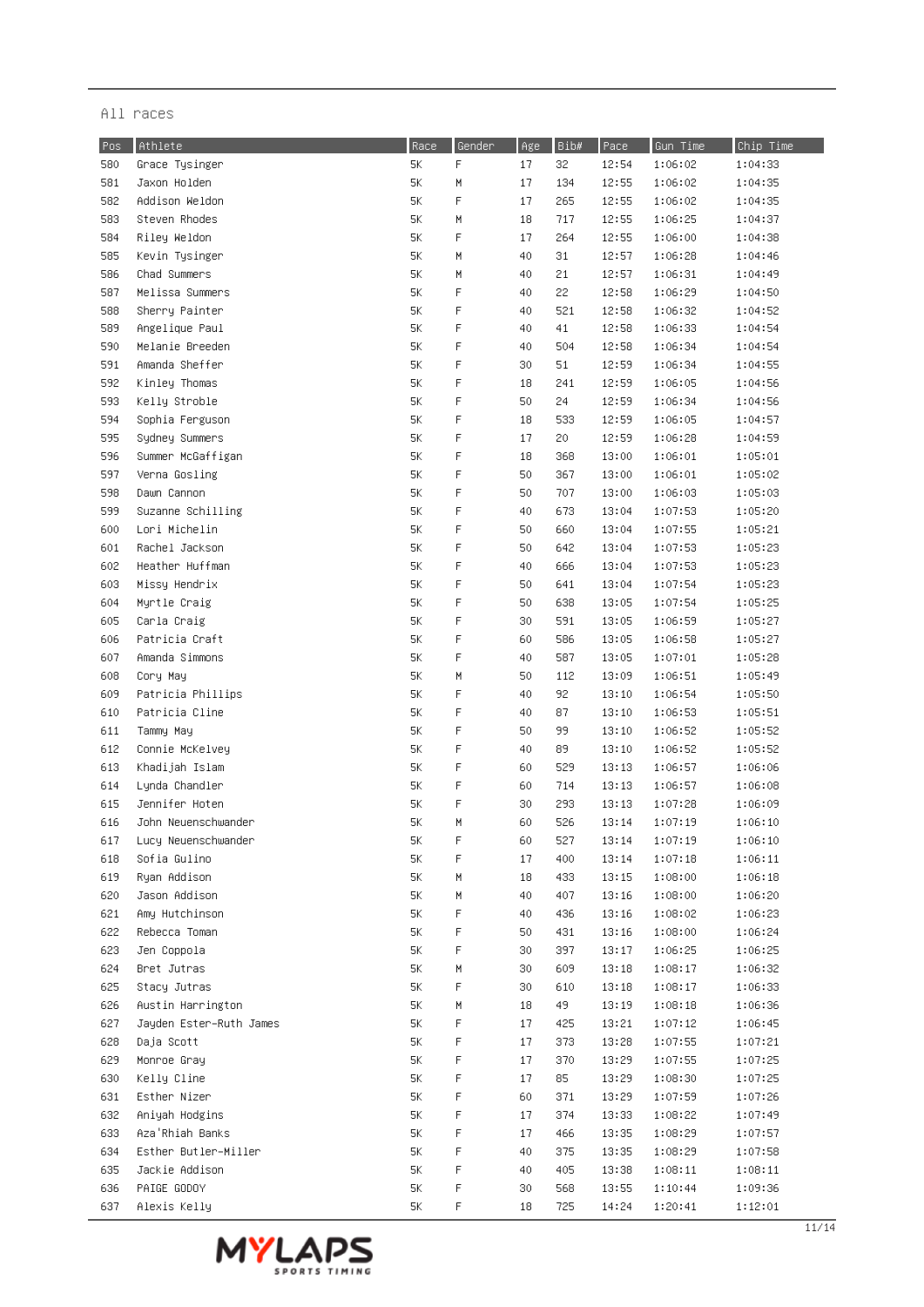| Pos | Athlete                 | Race          | Gender      | Age | Bib# | Pace  | Gun Time | Chip Time |
|-----|-------------------------|---------------|-------------|-----|------|-------|----------|-----------|
| 580 | Grace Tysinger          | 5К            | $\mathsf F$ | 17  | 32   | 12:54 | 1:06:02  | 1:04:33   |
| 581 | Jaxon Holden            | 5К            | M           | 17  | 134  | 12:55 | 1:06:02  | 1:04:35   |
| 582 | Addison Weldon          | 5К            | F           | 17  | 265  | 12:55 | 1:06:02  | 1:04:35   |
| 583 | Steven Rhodes           | 5К            | М           | 18  | 717  | 12:55 | 1:06:25  | 1:04:37   |
| 584 | Riley Weldon            | 5К            | F           | 17  | 264  | 12:55 | 1:06:00  | 1:04:38   |
| 585 | Kevin Tysinger          | 5К            | М           | 40  | 31   | 12:57 | 1:06:28  | 1:04:46   |
| 586 | Chad Summers            | 5К            | М           | 40  | 21   | 12:57 | 1:06:31  | 1:04:49   |
| 587 | Melissa Summers         | 5К            | F           | 40  | 22   | 12:58 | 1:06:29  | 1:04:50   |
| 588 | Sherry Painter          | 5К            | F           | 40  | 521  | 12:58 | 1:06:32  | 1:04:52   |
| 589 | Angelique Paul          | 5К            | F           | 40  | 41   | 12:58 | 1:06:33  | 1:04:54   |
| 590 | Melanie Breeden         | 5К            | F           | 40  | 504  | 12:58 | 1:06:34  | 1:04:54   |
| 591 | Amanda Sheffer          | 5К            | F           |     | 51   | 12:59 | 1:06:34  | 1:04:55   |
|     |                         |               | F           | 30  |      |       |          |           |
| 592 | Kinley Thomas           | 5К            |             | 18  | 241  | 12:59 | 1:06:05  | 1:04:56   |
| 593 | Kelly Stroble           | 5К            | F           | 50  | 24   | 12:59 | 1:06:34  | 1:04:56   |
| 594 | Sophia Ferguson         | 5К            | F           | 18  | 533  | 12:59 | 1:06:05  | 1:04:57   |
| 595 | Sydney Summers          | 5К            | F           | 17  | 20   | 12:59 | 1:06:28  | 1:04:59   |
| 596 | Summer McGaffigan       | 5К            | F           | 18  | 368  | 13:00 | 1:06:01  | 1:05:01   |
| 597 | Verna Gosling           | 5К            | F           | 50  | 367  | 13:00 | 1:06:01  | 1:05:02   |
| 598 | Dawn Cannon             | 5К            | F           | 50  | 707  | 13:00 | 1:06:03  | 1:05:03   |
| 599 | Suzanne Schilling       | 5К            | F           | 40  | 673  | 13:04 | 1:07:53  | 1:05:20   |
| 600 | Lori Michelin           | 5К            | F           | 50  | 660  | 13:04 | 1:07:55  | 1:05:21   |
| 601 | Rachel Jackson          | 5К            | F           | 50  | 642  | 13:04 | 1:07:53  | 1:05:23   |
| 602 | Heather Huffman         | 5К            | F           | 40  | 666  | 13:04 | 1:07:53  | 1:05:23   |
| 603 | Missy Hendrix           | 5К            | F           | 50  | 641  | 13:04 | 1:07:54  | 1:05:23   |
| 604 | Myrtle Craig            | 5К            | F           | 50  | 638  | 13:05 | 1:07:54  | 1:05:25   |
| 605 | Carla Craig             | 5К            | F           | 30  | 591  | 13:05 | 1:06:59  | 1:05:27   |
| 606 | Patricia Craft          | 5К            | F           | 60  | 586  | 13:05 | 1:06:58  | 1:05:27   |
| 607 | Amanda Simmons          | 5К            | F           | 40  | 587  | 13:05 | 1:07:01  | 1:05:28   |
| 608 | Cory May                | 5К            | М           | 50  | 112  | 13:09 | 1:06:51  | 1:05:49   |
| 609 | Patricia Phillips       | 5К            | F           | 40  | 92   | 13:10 | 1:06:54  | 1:05:50   |
| 610 | Patricia Cline          | 5К            | F           | 40  | 87   | 13:10 | 1:06:53  | 1:05:51   |
| 611 | Tammy May               | 5К            | F           | 50  | 99   | 13:10 | 1:06:52  | 1:05:52   |
| 612 | Connie McKelvey         | 5К            | F           | 40  | 89   | 13:10 | 1:06:52  | 1:05:52   |
| 613 | Khadijah Islam          | 5К            | F           | 60  | 529  | 13:13 | 1:06:57  | 1:06:06   |
| 614 | Lynda Chandler          | 5К            | F           | 60  | 714  | 13:13 | 1:06:57  | 1:06:08   |
| 615 | Jennifer Hoten          | 5К            | F           | 30  | 293  | 13:13 | 1:07:28  | 1:06:09   |
| 616 | John Neuenschwander     | 5К            | М           | 60  | 526  | 13:14 | 1:07:19  | 1:06:10   |
| 617 | Lucy Neuenschwander     | $5\mathrm{K}$ | F           | 60  | 527  | 13:14 | 1:07:19  | 1:06:10   |
| 618 | Sofia Gulino            | 5К            | F           | 17  | 400  | 13:14 | 1:07:18  | 1:06:11   |
| 619 | Ryan Addison            | 5K            | М           | 18  | 433  | 13:15 | 1:08:00  | 1:06:18   |
| 620 | Jason Addison           | 5К            | Μ           | 40  | 407  | 13:16 | 1:08:00  | 1:06:20   |
| 621 | Amy Hutchinson          | 5К            | F           | 40  | 436  | 13:16 | 1:08:02  | 1:06:23   |
| 622 | Rebecca Toman           | 5К            | F           | 50  | 431  | 13:16 | 1:08:00  | 1:06:24   |
| 623 | Jen Coppola             | 5К            | F           | 30  | 397  | 13:17 | 1:06:25  | 1:06:25   |
| 624 | Bret Jutras             | 5К            | H           | 30  | 609  | 13:18 | 1:08:17  | 1:06:32   |
| 625 | Stacy Jutras            | 5К            | F           | 30  | 610  | 13:18 | 1:08:17  | 1:06:33   |
| 626 | Austin Harrington       | 5К            | Μ           | 18  | 49   | 13:19 | 1:08:18  | 1:06:36   |
| 627 | Jayden Ester–Ruth James | 5К            | F           | 17  | 425  | 13:21 | 1:07:12  | 1:06:45   |
| 628 | Daja Scott              | 5К            | $\mathsf F$ | 17  | 373  | 13:28 | 1:07:55  | 1:07:21   |
| 629 | Monroe Gray             | 5К            | F           | 17  | 370  | 13:29 | 1:07:55  |           |
| 630 | Kelly Cline             | 5К            | $\mathsf F$ | 17  | 85   | 13:29 |          | 1:07:25   |
|     |                         |               |             |     |      |       | 1:08:30  | 1:07:25   |
| 631 | Esther Nizer            | 5К            | F           | 60  | 371  | 13:29 | 1:07:59  | 1:07:26   |
| 632 | Aniyah Hodgins          | 5K            | F           | 17  | 374  | 13:33 | 1:08:22  | 1:07:49   |
| 633 | Aza'Rhiah Banks         | 5К            | F           | 17  | 466  | 13:35 | 1:08:29  | 1:07:57   |
| 634 | Esther Butler-Miller    | 5К            | F           | 40  | 375  | 13:35 | 1:08:29  | 1:07:58   |
| 635 | Jackie Addison          | 5К            | F           | 40  | 405  | 13:38 | 1:08:11  | 1:08:11   |
| 636 | PAIGE GODOY             | 5K            | F           | 30  | 568  | 13:55 | 1:10:44  | 1:09:36   |
| 637 | Alexis Kelly            | 5К            | F           | 18  | 725  | 14:24 | 1:20:41  | 1:12:01   |

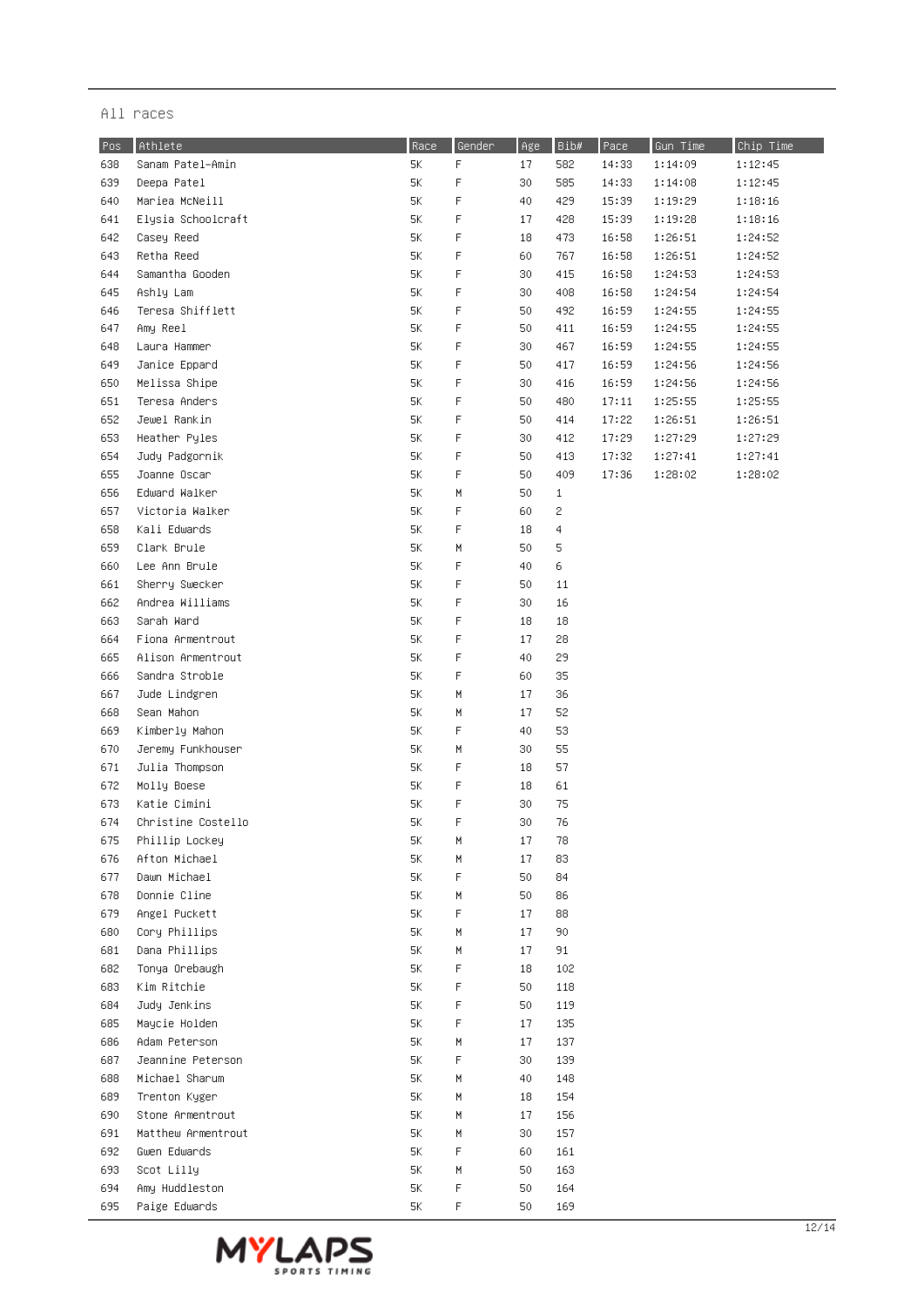| Pos | Athlete                            | Race     | Gender | Age | Bib# | Pace  | Gun Time | Chip Time |
|-----|------------------------------------|----------|--------|-----|------|-------|----------|-----------|
| 638 | Sanam Patel-Amin                   | 5К       | F      | 17  | 582  | 14:33 | 1:14:09  | 1:12:45   |
| 639 | Deepa Patel                        | 5Κ       | F      | 30  | 585  | 14:33 | 1:14:08  | 1:12:45   |
| 640 | Mariea McNeill                     | 5К       | F      | 40  | 429  | 15:39 | 1:19:29  | 1:18:16   |
| 641 | Elysia Schoolcraft                 | 5К       | F      | 17  | 428  | 15:39 | 1:19:28  | 1:18:16   |
| 642 | Casey Reed                         | 5К       | F      | 18  | 473  | 16:58 | 1:26:51  | 1:24:52   |
| 643 | Retha Reed                         | 5К       | F      | 60  | 767  | 16:58 | 1:26:51  | 1:24:52   |
| 644 | Samantha Gooden                    | 5К       | F      | 30  | 415  | 16:58 | 1:24:53  | 1:24:53   |
| 645 | Ashly Lam                          | 5К       | F      | 30  | 408  | 16:58 | 1:24:54  | 1:24:54   |
| 646 | Teresa Shifflett                   | 5К       | F      | 50  | 492  | 16:59 | 1:24:55  | 1:24:55   |
| 647 | Amy Reel                           | 5К       | F      | 50  | 411  | 16:59 | 1:24:55  | 1:24:55   |
| 648 | Laura Hammer                       | 5К       | F      | 30  | 467  | 16:59 | 1:24:55  | 1:24:55   |
| 649 | Janice Eppard                      | 5К       | F      | 50  | 417  | 16:59 | 1:24:56  | 1:24:56   |
| 650 | Melissa Shipe                      | 5К       | F      | 30  | 416  | 16:59 | 1:24:56  | 1:24:56   |
| 651 | Teresa Anders                      | 5К       | F      | 50  | 480  | 17:11 | 1:25:55  | 1:25:55   |
| 652 | Jewel Rankin                       | 5К       | F      | 50  | 414  | 17:22 | 1:26:51  | 1:26:51   |
| 653 | Heather Pyles                      | 5К       | F      | 30  | 412  | 17:29 | 1:27:29  | 1:27:29   |
| 654 | Judy Padgornik                     | 5К       | F      | 50  | 413  | 17:32 | 1:27:41  | 1:27:41   |
| 655 | Joanne Oscar                       | 5К       | F      | 50  | 409  | 17:36 | 1:28:02  | 1:28:02   |
| 656 | Edward Walker                      | 5К       | М      | 50  | 1    |       |          |           |
| 657 | Victoria Walker                    | 5К       | F      | 60  | 2    |       |          |           |
| 658 | Kali Edwards                       | 5К       | F      | 18  | 4    |       |          |           |
| 659 | Clark Brule                        | 5К       | М      | 50  | 5    |       |          |           |
| 660 | Lee Ann Brule                      | 5К       | F      | 40  | 6    |       |          |           |
| 661 | Sherry Swecker                     | 5К       | F      | 50  | 11   |       |          |           |
| 662 | Andrea Williams                    | 5К       | F      | 30  | 16   |       |          |           |
| 663 | Sarah Ward                         | 5К       | F      | 18  | 18   |       |          |           |
| 664 | Fiona Armentrout                   | 5К       | F      | 17  | 28   |       |          |           |
| 665 | Alison Armentrout                  | 5К       | F      | 40  | 29   |       |          |           |
| 666 | Sandra Stroble                     | 5К       | F      | 60  | 35   |       |          |           |
| 667 | Jude Lindgren                      | 5К       | М      | 17  | 36   |       |          |           |
| 668 | Sean Mahon                         | 5К       | М      | 17  | 52   |       |          |           |
|     | Kimberly Mahon                     | 5К       | F      | 40  | 53   |       |          |           |
| 669 |                                    | 5К       | М      | 30  | 55   |       |          |           |
| 670 | Jeremy Funkhouser                  |          |        |     |      |       |          |           |
| 671 | Julia Thompson<br>Molly Boese      | 5К<br>5К | F<br>F | 18  | 57   |       |          |           |
| 672 |                                    |          | F      | 18  | 61   |       |          |           |
| 673 | Katie Cimini<br>Christine Costello | 5К       |        | 30  | 75   |       |          |           |
| 674 |                                    | 5К       | F      | 30  | 76   |       |          |           |
| 675 | Phillip Lockey                     | 5К       | М      | 17  | 78   |       |          |           |
| 676 | Afton Michael                      | 5К       | М      | 17  | 83   |       |          |           |
| 677 | Dawn Michael                       | 5К       | F      | 50  | 84   |       |          |           |
| 678 | Donnie Cline                       | 5К       | М      | 50  | 86   |       |          |           |
| 679 | Angel Puckett                      | 5К       | F      | 17  | 88   |       |          |           |
| 680 | Cory Phillips                      | 5К       | М      | 17  | 90   |       |          |           |
| 681 | Dana Phillips                      | 5К       | М      | 17  | 91   |       |          |           |
| 682 | Tonya Orebaugh                     | 5К       | F      | 18  | 102  |       |          |           |
| 683 | Kim Ritchie                        | 5К       | F      | 50  | 118  |       |          |           |
| 684 | Judy Jenkins                       | 5Κ.      | F      | 50  | 119  |       |          |           |
| 685 | Maycie Holden                      | 5Κ.      | F      | 17  | 135  |       |          |           |
| 686 | Adam Peterson                      | 5Κ.      | М      | 17  | 137  |       |          |           |
| 687 | Jeannine Peterson                  | 5К       | F      | 30  | 139  |       |          |           |
| 688 | Michael Sharum                     | 5К       | M      | 40  | 148  |       |          |           |
| 689 | Trenton Kyger                      | 5К       | M      | 18  | 154  |       |          |           |
| 690 | Stone Armentrout                   | 5К       | M      | 17  | 156  |       |          |           |
| 691 | Matthew Armentrout                 | 5К       | M      | 30  | 157  |       |          |           |
| 692 | Gwen Edwards                       | 5Κ       | F      | 60  | 161  |       |          |           |
| 693 | Scot Lilly                         | 5К       | М      | 50  | 163  |       |          |           |
| 694 | Amy Huddleston                     | 5К       | F      | 50  | 164  |       |          |           |
| 695 | Paige Edwards                      | 5К       | F      | 50  | 169  |       |          |           |

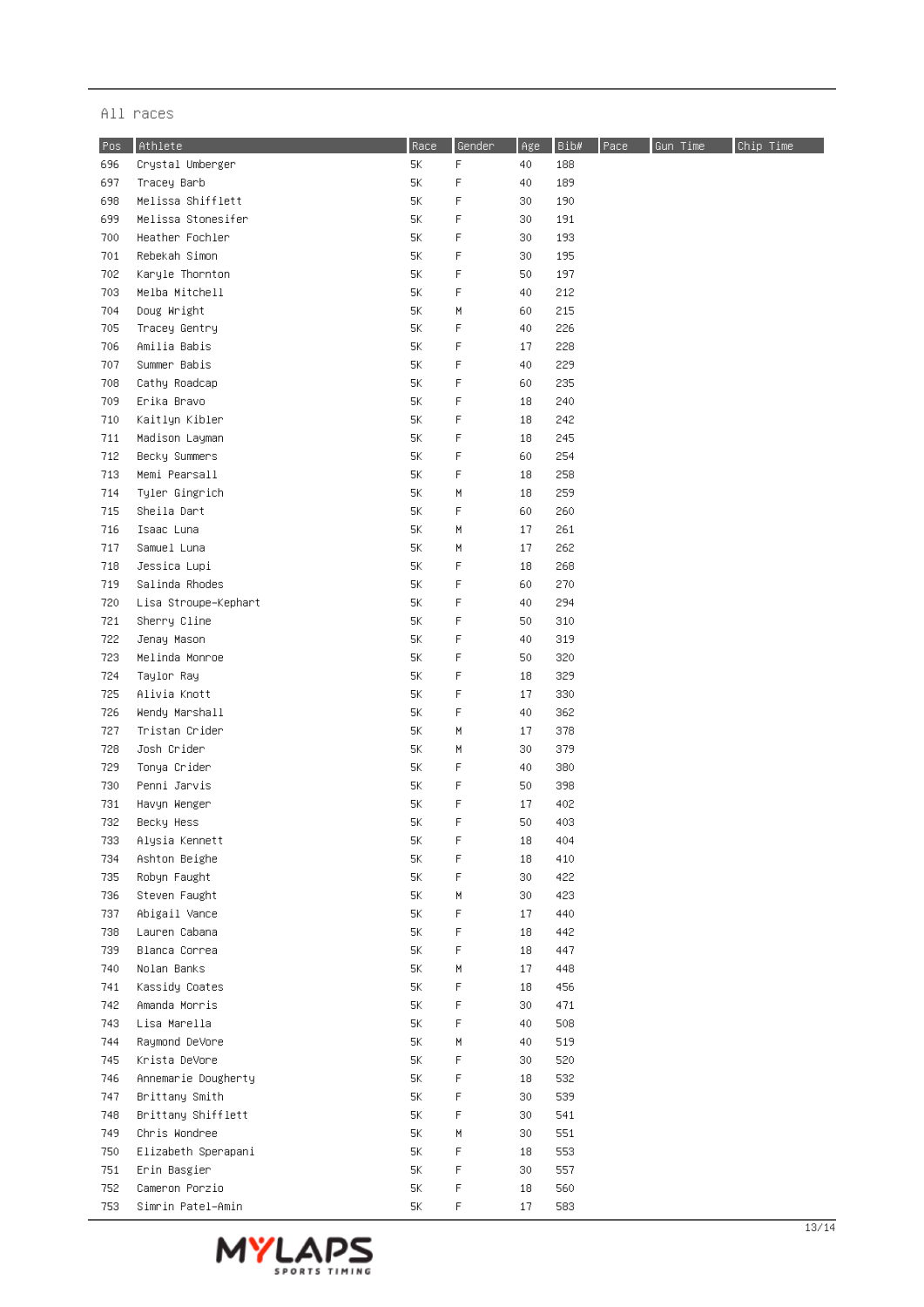| Pos: | Athlete              | Race | Gender | Age | Bib# | Pace | Gun Time | Chip Time |
|------|----------------------|------|--------|-----|------|------|----------|-----------|
| 696  | Crystal Umberger     | 5К   | F      | 40  | 188  |      |          |           |
| 697  | Tracey Barb          | 5K   | F      | 40  | 189  |      |          |           |
| 698  | Melissa Shifflett    | 5К   | F      | 30  | 190  |      |          |           |
| 699  | Melissa Stonesifer   | 5К   | F      | 30  | 191  |      |          |           |
| 700  | Heather Fochler      | 5К   | F      | 30  | 193  |      |          |           |
| 701  | Rebekah Simon        | 5К   | F      | 30  | 195  |      |          |           |
| 702  | Karyle Thornton      | 5К   | F      | 50  | 197  |      |          |           |
| 703  | Melba Mitchell       | 5К   | F      | 40  | 212  |      |          |           |
| 704  | Doug Wright          | 5К   | Μ      | 60  | 215  |      |          |           |
| 705  | Tracey Gentry        | 5К   | F      | 40  | 226  |      |          |           |
| 706  | Amilia Babis         | 5К   | F      | 17  | 228  |      |          |           |
| 707  | Summer Babis         | 5К   | F      | 40  | 229  |      |          |           |
| 708  | Cathy Roadcap        | 5К   | F      | 60  | 235  |      |          |           |
| 709  | Erika Bravo          | 5K   | F      | 18  | 240  |      |          |           |
| 710  | Kaitlyn Kibler       | 5К   | F      | 18  | 242  |      |          |           |
| 711  | Madison Layman       | 5К   | F      | 18  | 245  |      |          |           |
|      | Becky Summers        | 5К   | F      | 60  | 254  |      |          |           |
| 712  | Memi Pearsall        | 5К   | F      |     | 258  |      |          |           |
| 713  |                      |      |        | 18  |      |      |          |           |
| 714  | Tyler Gingrich       | 5К   | M      | 18  | 259  |      |          |           |
| 715  | Sheila Dart          | 5К   | F      | 60  | 260  |      |          |           |
| 716  | Isaac Luna           | 5K   | М      | 17  | 261  |      |          |           |
| 717  | Samuel Luna          | 5К   | М      | 17  | 262  |      |          |           |
| 718  | Jessica Lupi         | 5К   | F      | 18  | 268  |      |          |           |
| 719  | Salinda Rhodes       | 5К   | F      | 60  | 270  |      |          |           |
| 720  | Lisa Stroupe–Kephart | 5К   | F      | 40  | 294  |      |          |           |
| 721  | Sherry Cline         | 5К   | F      | 50  | 310  |      |          |           |
| 722  | Jenay Mason          | 5К   | F      | 40  | 319  |      |          |           |
| 723  | Melinda Monroe       | 5К   | F      | 50  | 320  |      |          |           |
| 724  | Taylor Ray           | 5К   | F      | 18  | 329  |      |          |           |
| 725  | Alivia Knott         | 5К   | F      | 17  | 330  |      |          |           |
| 726  | Wendy Marshall       | 5К   | F      | 40  | 362  |      |          |           |
| 727  | Tristan Crider       | 5К   | М      | 17  | 378  |      |          |           |
| 728  | Josh Crider          | 5К   | М      | 30  | 379  |      |          |           |
| 729  | Tonya Crider         | 5Κ   | F      | 40  | 380  |      |          |           |
| 730  | Penni Jarvis         | 5К   | F      | 50  | 398  |      |          |           |
| 731  | Havyn Wenger         | 5К   | F      | 17  | 402  |      |          |           |
| 732  | Becky Hess           | 5К   | F      | 50  | 403  |      |          |           |
| 733  | Alysia Kennett       | 5Κ   | F      | 18  | 404  |      |          |           |
| 734  | Ashton Beighe        | 5K   | F      | 18  | 410  |      |          |           |
| 735  | Robyn Faught         | 5K   | F      | 30  | 422  |      |          |           |
| 736  | Steven Faught        | 5K   | M      | 30  | 423  |      |          |           |
| 737  | Abigail Vance        | 5K   | F      | 17  | 440  |      |          |           |
| 738  | Lauren Cabana        | 5Κ   | F      | 18  | 442  |      |          |           |
| 739  | Blanca Correa        | 5К   | F      | 18  | 447  |      |          |           |
| 740  | Nolan Banks          | 5К   | M      | 17  | 448  |      |          |           |
| 741  | Kassidy Coates       | 5К   | F      | 18  | 456  |      |          |           |
| 742  | Amanda Morris        | 5К   | F      | 30  | 471  |      |          |           |
| 743  | Lisa Marella         | 5K   | F      | 40  | 508  |      |          |           |
| 744  | Raymond DeVore       | 5К   | M      | 40  | 519  |      |          |           |
| 745  | Krista DeVore        | 5К   | F      | 30  | 520  |      |          |           |
| 746  | Annemarie Dougherty  | 5К   | F      | 18  | 532  |      |          |           |
| 747  | Brittany Smith       | 5К   | F      | 30  | 539  |      |          |           |
| 748. | Brittany Shifflett   | 5К   | F      | 30  | 541  |      |          |           |
| 749  | Chris Wondree        | 5К   | М      | 30  | 551  |      |          |           |
| 750  | Elizabeth Sperapani  | 5К   | F      | 18  | 553  |      |          |           |
| 751  | Erin Basgier         | 5К   | F      | 30  | 557  |      |          |           |
| 752  | Cameron Porzio       | 5К   | F      | 18  | 560  |      |          |           |
| 753  | Simrin Patel-Amin    | 5K   | F      | 17  | 583  |      |          |           |